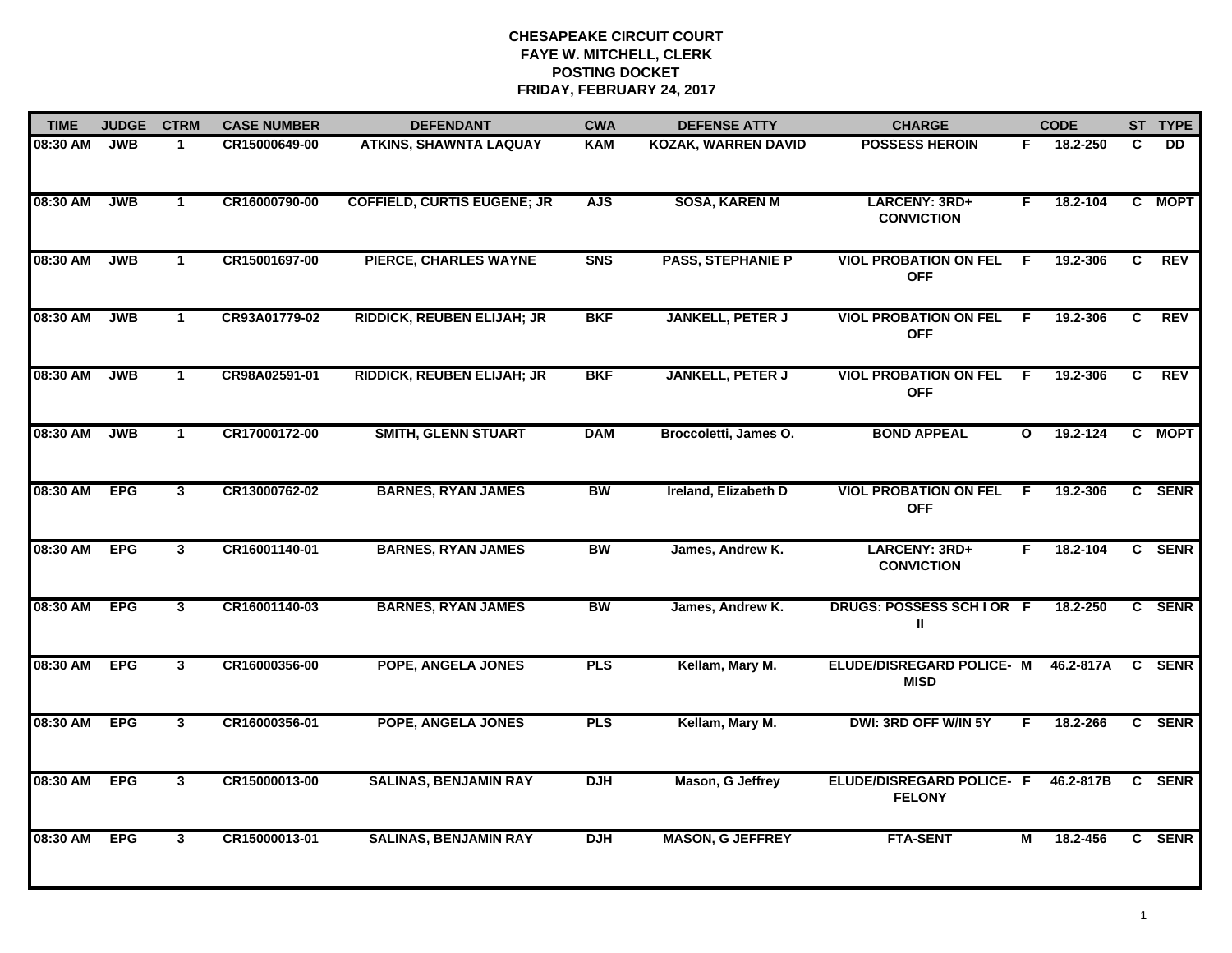| <b>TIME</b> | <b>JUDGE</b> | <b>CTRM</b>    | <b>CASE NUMBER</b> | <b>DEFENDANT</b>                   | <b>CWA</b> | <b>DEFENSE ATTY</b>        | <b>CHARGE</b>                              |              | <b>CODE</b> |   | ST TYPE     |
|-------------|--------------|----------------|--------------------|------------------------------------|------------|----------------------------|--------------------------------------------|--------------|-------------|---|-------------|
| 08:30 AM    | JWB          | $\mathbf 1$    | CR15000649-00      | <b>ATKINS, SHAWNTA LAQUAY</b>      | <b>KAM</b> | <b>KOZAK, WARREN DAVID</b> | <b>POSSESS HEROIN</b>                      | F.           | 18.2-250    | C | DD.         |
| 08:30 AM    | <b>JWB</b>   | $\mathbf{1}$   | CR16000790-00      | <b>COFFIELD, CURTIS EUGENE; JR</b> | <b>AJS</b> | <b>SOSA, KAREN M</b>       | LARCENY: 3RD+<br><b>CONVICTION</b>         | F.           | 18.2-104    | C | <b>MOPT</b> |
| 08:30 AM    | <b>JWB</b>   | $\mathbf{1}$   | CR15001697-00      | PIERCE, CHARLES WAYNE              | <b>SNS</b> | <b>PASS, STEPHANIE P</b>   | <b>VIOL PROBATION ON FEL</b><br><b>OFF</b> | -F           | 19.2-306    | C | <b>REV</b>  |
| 08:30 AM    | <b>JWB</b>   | $\mathbf{1}$   | CR93A01779-02      | <b>RIDDICK, REUBEN ELIJAH; JR</b>  | <b>BKF</b> | <b>JANKELL, PETER J</b>    | <b>VIOL PROBATION ON FEL</b><br><b>OFF</b> | -F           | 19.2-306    | C | <b>REV</b>  |
| 08:30 AM    | <b>JWB</b>   | $\mathbf{1}$   | CR98A02591-01      | <b>RIDDICK, REUBEN ELIJAH; JR</b>  | <b>BKF</b> | <b>JANKELL, PETER J</b>    | <b>VIOL PROBATION ON FEL</b><br><b>OFF</b> | F.           | 19.2-306    | C | <b>REV</b>  |
| 08:30 AM    | <b>JWB</b>   | $\mathbf{1}$   | CR17000172-00      | <b>SMITH, GLENN STUART</b>         | <b>DAM</b> | Broccoletti, James O.      | <b>BOND APPEAL</b>                         | $\mathbf{o}$ | 19.2-124    | C | <b>MOPT</b> |
| 08:30 AM    | <b>EPG</b>   | $\mathbf{3}$   | CR13000762-02      | <b>BARNES, RYAN JAMES</b>          | <b>BW</b>  | Ireland, Elizabeth D       | <b>VIOL PROBATION ON FEL</b><br><b>OFF</b> | F.           | 19.2-306    |   | C SENR      |
| 08:30 AM    | <b>EPG</b>   | 3              | CR16001140-01      | <b>BARNES, RYAN JAMES</b>          | <b>BW</b>  | James, Andrew K.           | <b>LARCENY: 3RD+</b><br><b>CONVICTION</b>  | F.           | 18.2-104    |   | C SENR      |
| 08:30 AM    | <b>EPG</b>   | $\mathbf{3}$   | CR16001140-03      | <b>BARNES, RYAN JAMES</b>          | BW         | James, Andrew K.           | DRUGS: POSSESS SCH I OR F<br>Ш             |              | 18.2-250    |   | C SENR      |
| 08:30 AM    | <b>EPG</b>   | 3              | CR16000356-00      | POPE, ANGELA JONES                 | <b>PLS</b> | Kellam, Mary M.            | ELUDE/DISREGARD POLICE- M<br><b>MISD</b>   |              | 46.2-817A   |   | C SENR      |
| 08:30 AM    | <b>EPG</b>   | 3              | CR16000356-01      | <b>POPE, ANGELA JONES</b>          | <b>PLS</b> | Kellam, Mary M.            | DWI: 3RD OFF W/IN 5Y                       | F.           | 18.2-266    |   | C SENR      |
| 08:30 AM    | <b>EPG</b>   | $\overline{3}$ | CR15000013-00      | <b>SALINAS, BENJAMIN RAY</b>       | <b>DJH</b> | Mason, G Jeffrey           | ELUDE/DISREGARD POLICE- F<br><b>FELONY</b> |              | 46.2-817B   |   | C SENR      |
| 08:30 AM    | <b>EPG</b>   | 3              | CR15000013-01      | <b>SALINAS, BENJAMIN RAY</b>       | <b>DJH</b> | <b>MASON, G JEFFREY</b>    | <b>FTA-SENT</b>                            | М            | 18.2-456    |   | C SENR      |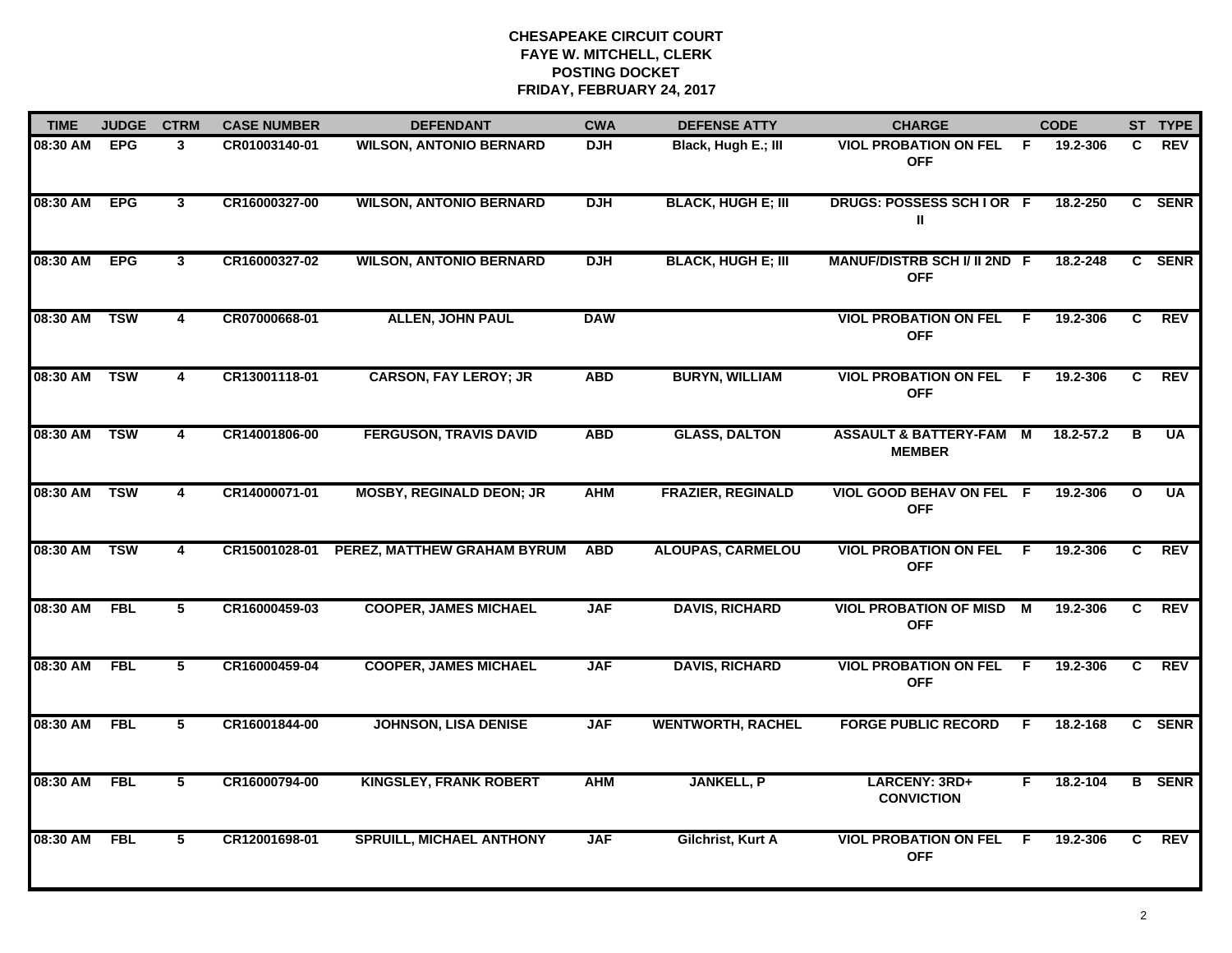| <b>TIME</b>  | <b>JUDGE</b> | <b>CTRM</b>             | <b>CASE NUMBER</b> | <b>DEFENDANT</b>                | <b>CWA</b> | <b>DEFENSE ATTY</b>       | <b>CHARGE</b>                                     |     | <b>CODE</b> |              | ST TYPE       |
|--------------|--------------|-------------------------|--------------------|---------------------------------|------------|---------------------------|---------------------------------------------------|-----|-------------|--------------|---------------|
| 08:30 AM     | <b>EPG</b>   | 3                       | CR01003140-01      | <b>WILSON, ANTONIO BERNARD</b>  | <b>DJH</b> | Black, Hugh E.; III       | <b>VIOL PROBATION ON FEL</b><br><b>OFF</b>        | - F | 19.2-306    | C.           | <b>REV</b>    |
| 08:30 AM     | <b>EPG</b>   | $\mathbf{3}$            | CR16000327-00      | <b>WILSON, ANTONIO BERNARD</b>  | <b>DJH</b> | <b>BLACK, HUGH E; III</b> | DRUGS: POSSESS SCH I OR F<br>Ш                    |     | 18.2-250    |              | C SENR        |
| 08:30 AM     | <b>EPG</b>   | $\overline{3}$          | CR16000327-02      | <b>WILSON, ANTONIO BERNARD</b>  | <b>DJH</b> | <b>BLACK, HUGH E; III</b> | <b>MANUF/DISTRB SCH I/ II 2ND F</b><br><b>OFF</b> |     | 18.2-248    |              | C SENR        |
| 08:30 AM     | <b>TSW</b>   | 4                       | CR07000668-01      | <b>ALLEN, JOHN PAUL</b>         | <b>DAW</b> |                           | <b>VIOL PROBATION ON FEL</b><br><b>OFF</b>        | -F  | 19.2-306    | C.           | <b>REV</b>    |
| 08:30 AM     | <b>TSW</b>   | 4                       | CR13001118-01      | <b>CARSON, FAY LEROY; JR</b>    | <b>ABD</b> | <b>BURYN, WILLIAM</b>     | <b>VIOL PROBATION ON FEL</b><br><b>OFF</b>        | E   | 19.2-306    | C            | <b>REV</b>    |
| 08:30 AM TSW |              | $\overline{\mathbf{4}}$ | CR14001806-00      | <b>FERGUSON, TRAVIS DAVID</b>   | <b>ABD</b> | <b>GLASS, DALTON</b>      | ASSAULT & BATTERY-FAM M<br><b>MEMBER</b>          |     | 18.2-57.2   | в            | UA            |
| 08:30 AM     | TSW          | $\overline{\mathbf{4}}$ | CR14000071-01      | <b>MOSBY, REGINALD DEON; JR</b> | <b>AHM</b> | <b>FRAZIER, REGINALD</b>  | VIOL GOOD BEHAV ON FEL F<br><b>OFF</b>            |     | 19.2-306    | $\mathbf{o}$ | <b>UA</b>     |
| 08:30 AM     | <b>TSW</b>   | 4                       | CR15001028-01      | PEREZ, MATTHEW GRAHAM BYRUM     | <b>ABD</b> | <b>ALOUPAS, CARMELOU</b>  | <b>VIOL PROBATION ON FEL</b><br><b>OFF</b>        | - F | 19.2-306    | C            | REV           |
| 08:30 AM     | <b>FBL</b>   | 5                       | CR16000459-03      | <b>COOPER, JAMES MICHAEL</b>    | <b>JAF</b> | <b>DAVIS, RICHARD</b>     | <b>VIOL PROBATION OF MISD</b><br><b>OFF</b>       | M   | 19.2-306    | C.           | <b>REV</b>    |
| 08:30 AM     | <b>FBL</b>   | 5                       | CR16000459-04      | <b>COOPER, JAMES MICHAEL</b>    | <b>JAF</b> | <b>DAVIS, RICHARD</b>     | <b>VIOL PROBATION ON FEL</b><br><b>OFF</b>        | E   | 19.2-306    | C            | <b>REV</b>    |
| 08:30 AM     | <b>FBL</b>   | 5                       | CR16001844-00      | <b>JOHNSON, LISA DENISE</b>     | <b>JAF</b> | <b>WENTWORTH, RACHEL</b>  | <b>FORGE PUBLIC RECORD</b>                        | F.  | 18.2-168    |              | C SENR        |
| 08:30 AM     | <b>FBL</b>   | 5                       | CR16000794-00      | <b>KINGSLEY, FRANK ROBERT</b>   | <b>AHM</b> | <b>JANKELL, P</b>         | LARCENY: 3RD+<br><b>CONVICTION</b>                | F.  | 18.2-104    |              | <b>B</b> SENR |
| 08:30 AM     | <b>FBL</b>   | 5                       | CR12001698-01      | <b>SPRUILL, MICHAEL ANTHONY</b> | <b>JAF</b> | Gilchrist, Kurt A         | <b>VIOL PROBATION ON FEL</b><br><b>OFF</b>        | -F  | 19.2-306    | C.           | REV           |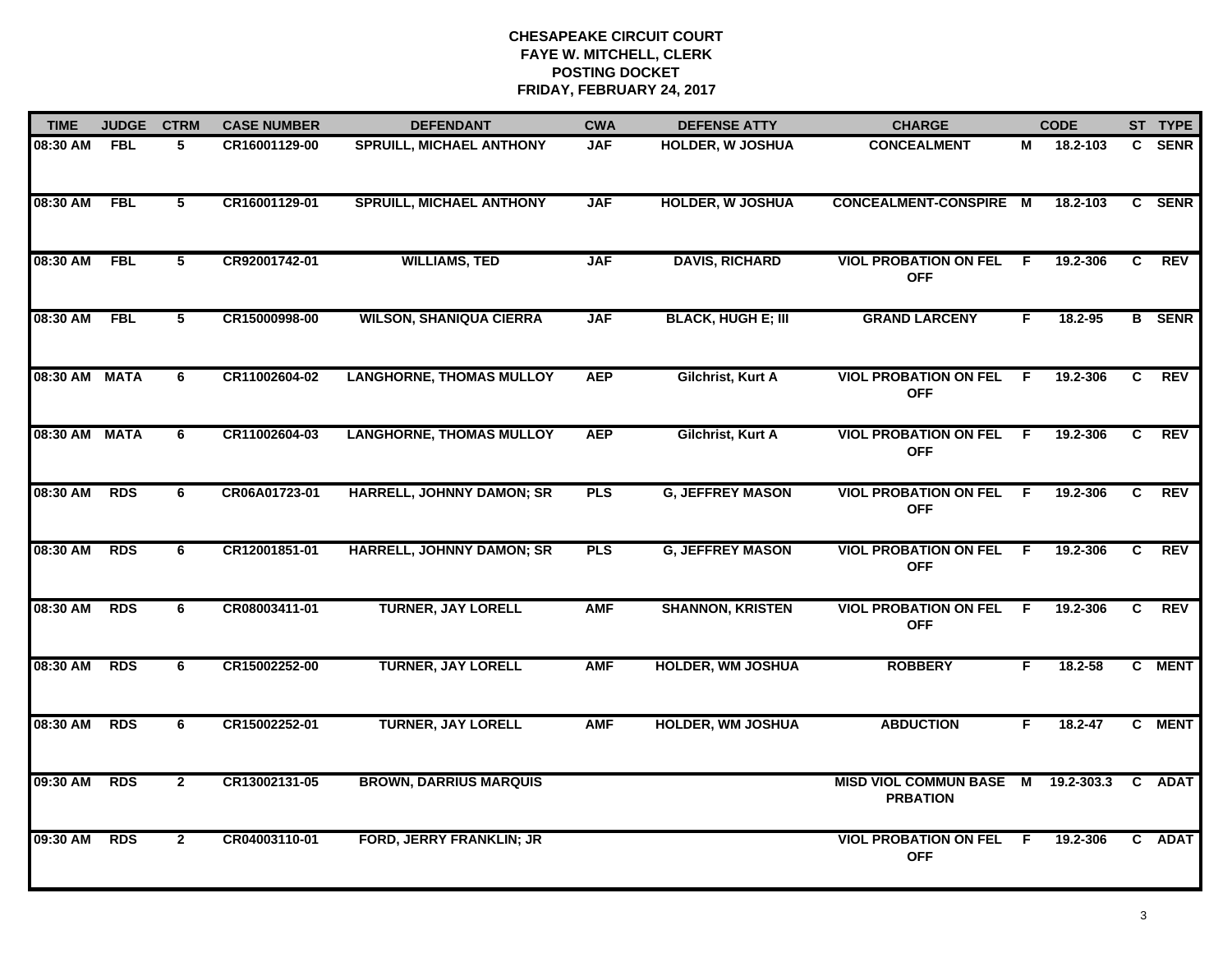| <b>TIME</b>   | <b>JUDGE</b> | <b>CTRM</b>  | <b>CASE NUMBER</b> | <b>DEFENDANT</b>                 | <b>CWA</b> | <b>DEFENSE ATTY</b>       | <b>CHARGE</b>                              |                | <b>CODE</b> |                | ST TYPE       |
|---------------|--------------|--------------|--------------------|----------------------------------|------------|---------------------------|--------------------------------------------|----------------|-------------|----------------|---------------|
| 08:30 AM      | <b>FBL</b>   | 5            | CR16001129-00      | <b>SPRUILL, MICHAEL ANTHONY</b>  | <b>JAF</b> | <b>HOLDER, W JOSHUA</b>   | <b>CONCEALMENT</b>                         | М              | 18.2-103    |                | C SENR        |
| 08:30 AM      | <b>FBL</b>   | 5            | CR16001129-01      | <b>SPRUILL, MICHAEL ANTHONY</b>  | <b>JAF</b> | <b>HOLDER, W JOSHUA</b>   | CONCEALMENT-CONSPIRE M                     |                | 18.2-103    |                | C SENR        |
| 08:30 AM      | <b>FBL</b>   | 5            | CR92001742-01      | <b>WILLIAMS, TED</b>             | <b>JAF</b> | <b>DAVIS, RICHARD</b>     | <b>VIOL PROBATION ON FEL</b><br><b>OFF</b> | -F             | 19.2-306    | C.             | <b>REV</b>    |
| 08:30 AM      | <b>FBL</b>   | 5            | CR15000998-00      | <b>WILSON, SHANIQUA CIERRA</b>   | <b>JAF</b> | <b>BLACK, HUGH E; III</b> | <b>GRAND LARCENY</b>                       | F              | $18.2 - 95$ |                | <b>B</b> SENR |
| 08:30 AM MATA |              | 6            | CR11002604-02      | <b>LANGHORNE, THOMAS MULLOY</b>  | <b>AEP</b> | Gilchrist, Kurt A         | <b>VIOL PROBATION ON FEL</b><br><b>OFF</b> | E              | 19.2-306    | C              | <b>REV</b>    |
| 08:30 AM MATA |              | 6            | CR11002604-03      | <b>LANGHORNE, THOMAS MULLOY</b>  | <b>AEP</b> | Gilchrist, Kurt A         | <b>VIOL PROBATION ON FEL</b><br><b>OFF</b> | - F            | 19.2-306    | $\mathbf{c}$   | <b>REV</b>    |
| 08:30 AM      | <b>RDS</b>   | 6            | CR06A01723-01      | <b>HARRELL, JOHNNY DAMON; SR</b> | <b>PLS</b> | <b>G, JEFFREY MASON</b>   | <b>VIOL PROBATION ON FEL</b><br><b>OFF</b> | $\overline{F}$ | 19.2-306    | $\overline{c}$ | REV           |
| 08:30 AM      | <b>RDS</b>   | 6            | CR12001851-01      | HARRELL, JOHNNY DAMON; SR        | <b>PLS</b> | <b>G, JEFFREY MASON</b>   | <b>VIOL PROBATION ON FEL</b><br><b>OFF</b> | -F             | 19.2-306    | C              | REV           |
| 08:30 AM      | <b>RDS</b>   | 6            | CR08003411-01      | <b>TURNER, JAY LORELL</b>        | <b>AMF</b> | <b>SHANNON, KRISTEN</b>   | <b>VIOL PROBATION ON FEL</b><br><b>OFF</b> | F.             | 19.2-306    | C.             | <b>REV</b>    |
| 08:30 AM      | <b>RDS</b>   | 6            | CR15002252-00      | <b>TURNER, JAY LORELL</b>        | <b>AMF</b> | <b>HOLDER, WM JOSHUA</b>  | <b>ROBBERY</b>                             | F              | $18.2 - 58$ |                | C MENT        |
| 08:30 AM      | <b>RDS</b>   | 6            | CR15002252-01      | <b>TURNER, JAY LORELL</b>        | <b>AMF</b> | <b>HOLDER, WM JOSHUA</b>  | <b>ABDUCTION</b>                           | F.             | 18.2-47     |                | C MENT        |
| 09:30 AM      | <b>RDS</b>   | $\mathbf{2}$ | CR13002131-05      | <b>BROWN, DARRIUS MARQUIS</b>    |            |                           | MISD VIOL COMMUN BASE M<br><b>PRBATION</b> |                | 19.2-303.3  |                | C ADAT        |
| 09:30 AM      | <b>RDS</b>   | $\mathbf{2}$ | CR04003110-01      | <b>FORD, JERRY FRANKLIN; JR</b>  |            |                           | <b>VIOL PROBATION ON FEL</b><br><b>OFF</b> | -F             | 19.2-306    |                | C ADAT        |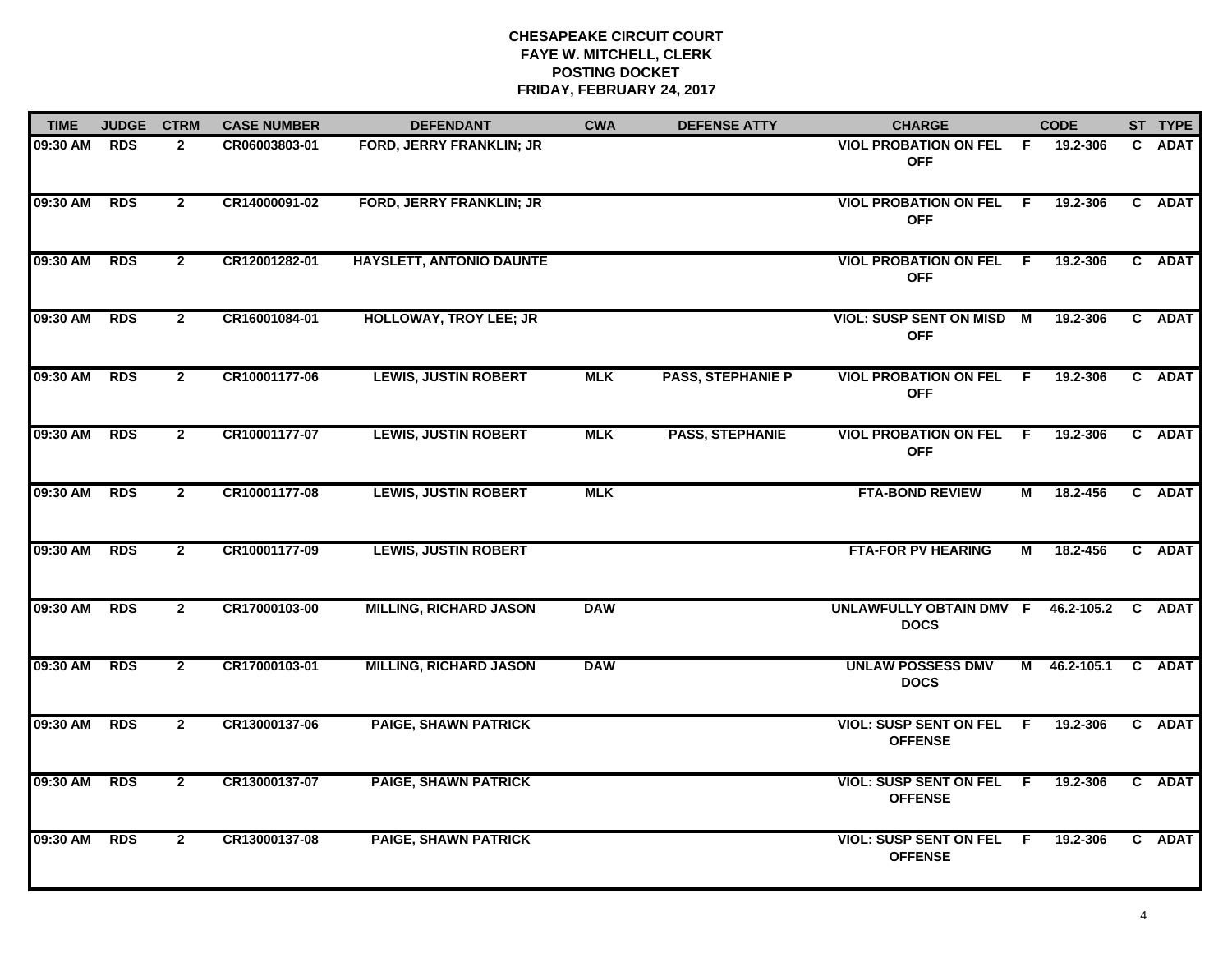| <b>TIME</b>  | <b>JUDGE</b> | <b>CTRM</b>    | <b>CASE NUMBER</b> | <b>DEFENDANT</b>                | <b>CWA</b> | <b>DEFENSE ATTY</b>      | <b>CHARGE</b>                                     |     | <b>CODE</b>  | ST TYPE |
|--------------|--------------|----------------|--------------------|---------------------------------|------------|--------------------------|---------------------------------------------------|-----|--------------|---------|
| 09:30 AM     | <b>RDS</b>   | $\mathbf{2}$   | CR06003803-01      | FORD, JERRY FRANKLIN; JR        |            |                          | <b>VIOL PROBATION ON FEL</b><br><b>OFF</b>        | - F | 19.2-306     | C ADAT  |
| 09:30 AM RDS |              | $\mathbf{2}$   | CR14000091-02      | <b>FORD, JERRY FRANKLIN; JR</b> |            |                          | <b>VIOL PROBATION ON FEL F</b><br><b>OFF</b>      |     | 19.2-306     | C ADAT  |
| 09:30 AM RDS |              | $\overline{2}$ | CR12001282-01      | HAYSLETT, ANTONIO DAUNTE        |            |                          | <b>VIOL PROBATION ON FEL F</b><br><b>OFF</b>      |     | 19.2-306     | C ADAT  |
| 09:30 AM     | <b>RDS</b>   | $\mathbf{2}$   | CR16001084-01      | <b>HOLLOWAY, TROY LEE; JR</b>   |            |                          | <b>VIOL: SUSP SENT ON MISD M</b><br><b>OFF</b>    |     | 19.2-306     | C ADAT  |
| 09:30 AM     | <b>RDS</b>   | $\mathbf{2}$   | CR10001177-06      | <b>LEWIS, JUSTIN ROBERT</b>     | <b>MLK</b> | <b>PASS, STEPHANIE P</b> | <b>VIOL PROBATION ON FEL F</b><br><b>OFF</b>      |     | 19.2-306     | C ADAT  |
| 09:30 AM     | <b>RDS</b>   | $\mathbf{2}$   | CR10001177-07      | <b>LEWIS, JUSTIN ROBERT</b>     | <b>MLK</b> | <b>PASS, STEPHANIE</b>   | <b>VIOL PROBATION ON FEL</b><br><b>OFF</b>        | - F | 19.2-306     | C ADAT  |
| 09:30 AM     | <b>RDS</b>   | $\mathbf{2}$   | CR10001177-08      | <b>LEWIS, JUSTIN ROBERT</b>     | <b>MLK</b> |                          | <b>FTA-BOND REVIEW</b>                            | М   | 18.2-456     | C ADAT  |
| 09:30 AM     | <b>RDS</b>   | $\mathbf{2}$   | CR10001177-09      | <b>LEWIS, JUSTIN ROBERT</b>     |            |                          | <b>FTA-FOR PV HEARING</b>                         | М   | 18.2-456     | C ADAT  |
| 09:30 AM     | <b>RDS</b>   | $\mathbf{2}$   | CR17000103-00      | <b>MILLING, RICHARD JASON</b>   | <b>DAW</b> |                          | UNLAWFULLY OBTAIN DMV F<br><b>DOCS</b>            |     | 46.2-105.2   | C ADAT  |
| 09:30 AM RDS |              | $\mathbf{2}$   | CR17000103-01      | <b>MILLING, RICHARD JASON</b>   | <b>DAW</b> |                          | <b>UNLAW POSSESS DMV</b><br><b>DOCS</b>           |     | M 46.2-105.1 | C ADAT  |
| 09:30 AM     | <b>RDS</b>   | $\mathbf{2}$   | CR13000137-06      | <b>PAIGE, SHAWN PATRICK</b>     |            |                          | <b>VIOL: SUSP SENT ON FEL F</b><br><b>OFFENSE</b> |     | 19.2-306     | C ADAT  |
| 09:30 AM     | <b>RDS</b>   | $\overline{2}$ | CR13000137-07      | <b>PAIGE, SHAWN PATRICK</b>     |            |                          | <b>VIOL: SUSP SENT ON FEL</b><br><b>OFFENSE</b>   | F.  | 19.2-306     | C ADAT  |
| 09:30 AM     | <b>RDS</b>   | $\mathbf{2}$   | CR13000137-08      | <b>PAIGE, SHAWN PATRICK</b>     |            |                          | <b>VIOL: SUSP SENT ON FEL</b><br><b>OFFENSE</b>   | - F | 19.2-306     | C ADAT  |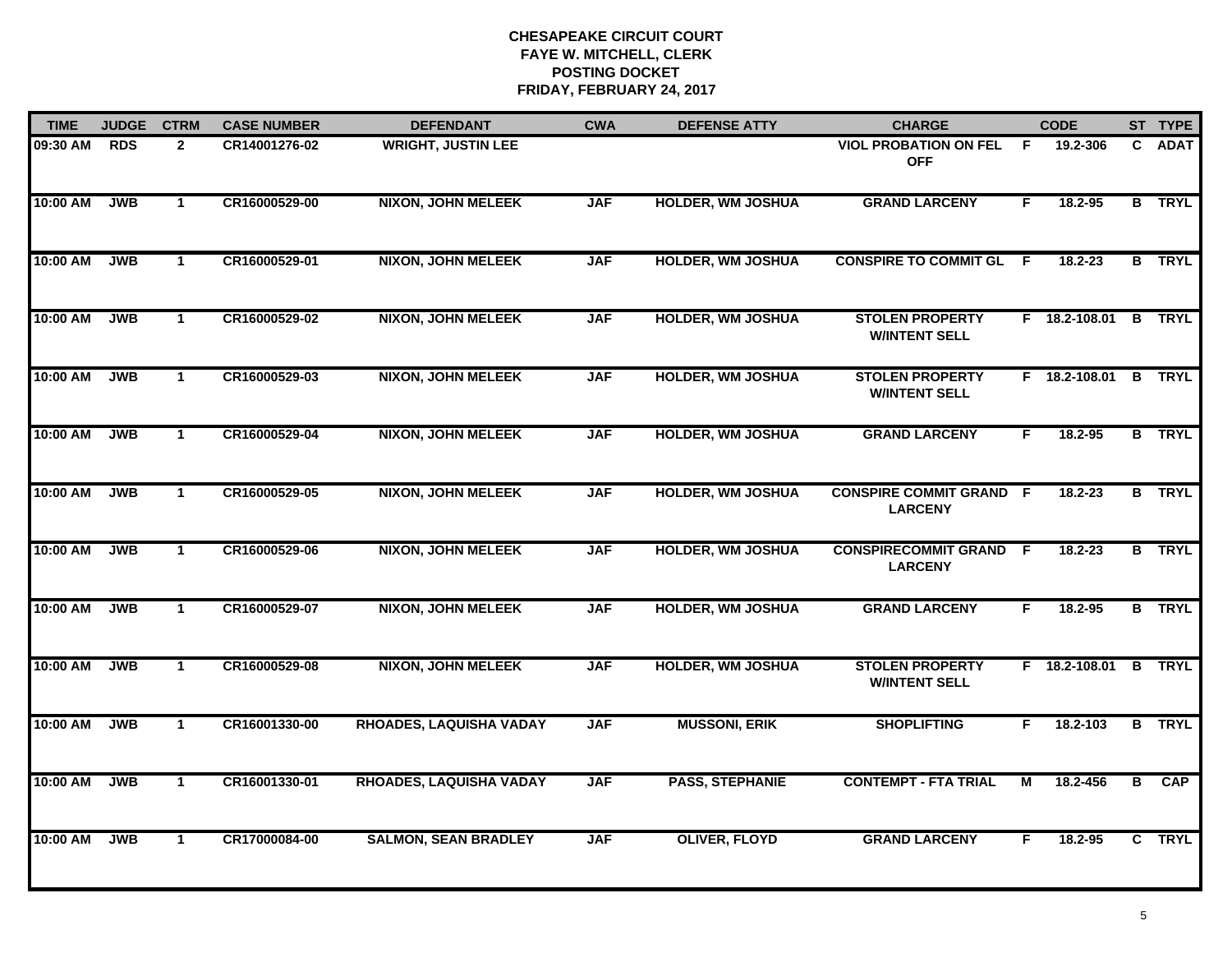| <b>TIME</b> | <b>JUDGE</b> | <b>CTRM</b>          | <b>CASE NUMBER</b> | <b>DEFENDANT</b>               | <b>CWA</b> | <b>DEFENSE ATTY</b>      | <b>CHARGE</b>                                    |     | <b>CODE</b>          |                | ST TYPE       |
|-------------|--------------|----------------------|--------------------|--------------------------------|------------|--------------------------|--------------------------------------------------|-----|----------------------|----------------|---------------|
| 09:30 AM    | <b>RDS</b>   | $\overline{2}$       | CR14001276-02      | <b>WRIGHT, JUSTIN LEE</b>      |            |                          | <b>VIOL PROBATION ON FEL</b><br><b>OFF</b>       | F.  | 19.2-306             | C.             | <b>ADAT</b>   |
| 10:00 AM    | <b>JWB</b>   | $\mathbf{1}$         | CR16000529-00      | <b>NIXON, JOHN MELEEK</b>      | <b>JAF</b> | <b>HOLDER, WM JOSHUA</b> | <b>GRAND LARCENY</b>                             | F.  | 18.2-95              |                | <b>B</b> TRYL |
| 10:00 AM    | <b>JWB</b>   | $\mathbf{1}$         | CR16000529-01      | <b>NIXON, JOHN MELEEK</b>      | <b>JAF</b> | <b>HOLDER, WM JOSHUA</b> | <b>CONSPIRE TO COMMIT GL</b>                     | - F | 18.2-23              |                | <b>B</b> TRYL |
| 10:00 AM    | <b>JWB</b>   | $\blacktriangleleft$ | CR16000529-02      | <b>NIXON, JOHN MELEEK</b>      | <b>JAF</b> | <b>HOLDER, WM JOSHUA</b> | <b>STOLEN PROPERTY</b><br><b>W/INTENT SELL</b>   |     | F 18.2-108.01 B TRYL |                |               |
| 10:00 AM    | <b>JWB</b>   | $\mathbf{1}$         | CR16000529-03      | <b>NIXON, JOHN MELEEK</b>      | <b>JAF</b> | <b>HOLDER, WM JOSHUA</b> | <b>STOLEN PROPERTY</b><br><b>W/INTENT SELL</b>   |     | $F$ 18.2-108.01      |                | <b>B</b> TRYL |
| 10:00 AM    | <b>JWB</b>   | $\mathbf{1}$         | CR16000529-04      | <b>NIXON, JOHN MELEEK</b>      | <b>JAF</b> | <b>HOLDER, WM JOSHUA</b> | <b>GRAND LARCENY</b>                             | F.  | 18.2-95              |                | <b>B</b> TRYL |
| 10:00 AM    | <b>JWB</b>   | $\mathbf{1}$         | CR16000529-05      | <b>NIXON, JOHN MELEEK</b>      | <b>JAF</b> | <b>HOLDER, WM JOSHUA</b> | <b>CONSPIRE COMMIT GRAND F</b><br><b>LARCENY</b> |     | $18.2 - 23$          |                | <b>B</b> TRYL |
| 10:00 AM    | <b>JWB</b>   | $\mathbf{1}$         | CR16000529-06      | <b>NIXON, JOHN MELEEK</b>      | <b>JAF</b> | <b>HOLDER, WM JOSHUA</b> | <b>CONSPIRECOMMIT GRAND F</b><br><b>LARCENY</b>  |     | 18.2-23              |                | <b>B</b> TRYL |
| 10:00 AM    | <b>JWB</b>   | $\mathbf{1}$         | CR16000529-07      | <b>NIXON, JOHN MELEEK</b>      | <b>JAF</b> | <b>HOLDER, WM JOSHUA</b> | <b>GRAND LARCENY</b>                             | F   | $18.2 - 95$          |                | <b>B</b> TRYL |
| 10:00 AM    | <b>JWB</b>   | $\mathbf{1}$         | CR16000529-08      | <b>NIXON, JOHN MELEEK</b>      | <b>JAF</b> | <b>HOLDER, WM JOSHUA</b> | <b>STOLEN PROPERTY</b><br><b>W/INTENT SELL</b>   |     | F 18.2-108.01        |                | <b>B</b> TRYL |
| 10:00 AM    | <b>JWB</b>   | $\mathbf{1}$         | CR16001330-00      | <b>RHOADES, LAQUISHA VADAY</b> | <b>JAF</b> | <b>MUSSONI, ERIK</b>     | <b>SHOPLIFTING</b>                               | F.  | 18.2-103             |                | <b>B</b> TRYL |
| 10:00 AM    | <b>JWB</b>   | $\mathbf{1}$         | CR16001330-01      | RHOADES, LAQUISHA VADAY        | <b>JAF</b> | <b>PASS, STEPHANIE</b>   | <b>CONTEMPT - FTA TRIAL</b>                      | М   | 18.2-456             | $\overline{B}$ | <b>CAP</b>    |
| 10:00 AM    | <b>JWB</b>   | $\mathbf{1}$         | CR17000084-00      | <b>SALMON, SEAN BRADLEY</b>    | <b>JAF</b> | <b>OLIVER, FLOYD</b>     | <b>GRAND LARCENY</b>                             | F   | 18.2-95              |                | C TRYL        |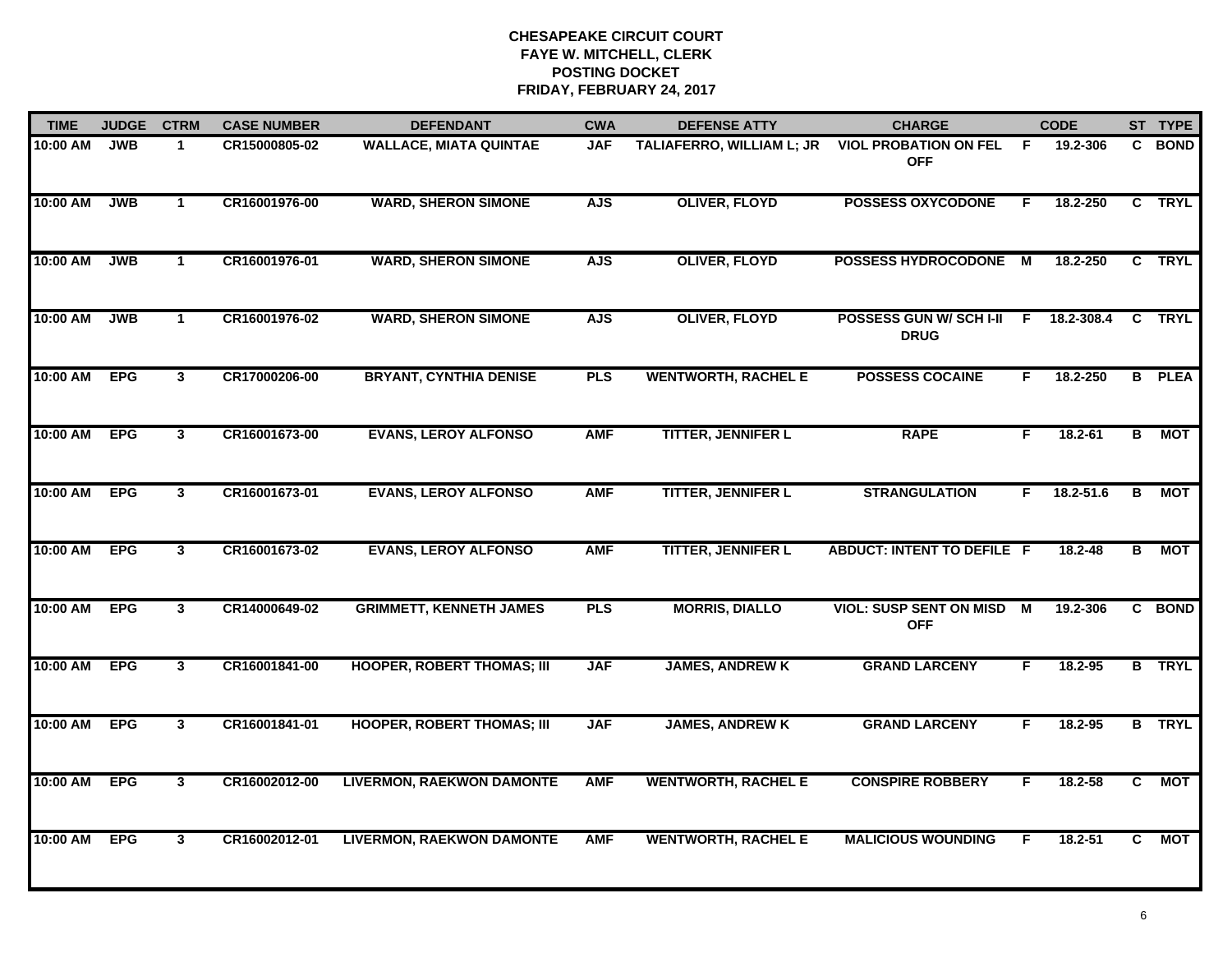| <b>TIME</b> | <b>JUDGE</b> | <b>CTRM</b>  | <b>CASE NUMBER</b> | <b>DEFENDANT</b>                  | <b>CWA</b> | <b>DEFENSE ATTY</b>              | <b>CHARGE</b>                                |     | <b>CODE</b> |                | ST TYPE       |
|-------------|--------------|--------------|--------------------|-----------------------------------|------------|----------------------------------|----------------------------------------------|-----|-------------|----------------|---------------|
| 10:00 AM    | <b>JWB</b>   | $\mathbf 1$  | CR15000805-02      | <b>WALLACE, MIATA QUINTAE</b>     | <b>JAF</b> | <b>TALIAFERRO, WILLIAM L; JR</b> | <b>VIOL PROBATION ON FEL</b><br><b>OFF</b>   | - F | 19.2-306    |                | C BOND        |
| 10:00 AM    | <b>JWB</b>   | $\mathbf{1}$ | CR16001976-00      | <b>WARD, SHERON SIMONE</b>        | <b>AJS</b> | <b>OLIVER, FLOYD</b>             | <b>POSSESS OXYCODONE</b>                     | F.  | 18.2-250    |                | C TRYL        |
| 10:00 AM    | <b>JWB</b>   | $\mathbf{1}$ | CR16001976-01      | <b>WARD, SHERON SIMONE</b>        | <b>AJS</b> | <b>OLIVER, FLOYD</b>             | <b>POSSESS HYDROCODONE</b>                   | M   | 18.2-250    |                | C TRYL        |
| 10:00 AM    | <b>JWB</b>   | $\mathbf{1}$ | CR16001976-02      | <b>WARD, SHERON SIMONE</b>        | <b>AJS</b> | <b>OLIVER, FLOYD</b>             | POSSESS GUN W/ SCH I-II<br><b>DRUG</b>       | F.  | 18.2-308.4  |                | C TRYL        |
| 10:00 AM    | <b>EPG</b>   | $\mathbf{3}$ | CR17000206-00      | <b>BRYANT, CYNTHIA DENISE</b>     | <b>PLS</b> | <b>WENTWORTH, RACHEL E</b>       | <b>POSSESS COCAINE</b>                       | F.  | 18.2-250    |                | <b>B</b> PLEA |
| 10:00 AM    | <b>EPG</b>   | 3            | CR16001673-00      | <b>EVANS, LEROY ALFONSO</b>       | <b>AMF</b> | <b>TITTER, JENNIFER L</b>        | <b>RAPE</b>                                  | F.  | $18.2 - 61$ | В              | МОТ           |
| 10:00 AM    | <b>EPG</b>   | $\mathbf{3}$ | CR16001673-01      | <b>EVANS, LEROY ALFONSO</b>       | <b>AMF</b> | <b>TITTER, JENNIFER L</b>        | <b>STRANGULATION</b>                         | F.  | 18.2-51.6   | В              | MOT           |
| 10:00 AM    | <b>EPG</b>   | 3            | CR16001673-02      | <b>EVANS, LEROY ALFONSO</b>       | <b>AMF</b> | <b>TITTER, JENNIFER L</b>        | <b>ABDUCT: INTENT TO DEFILE F</b>            |     | 18.2-48     | В              | <b>MOT</b>    |
| 10:00 AM    | <b>EPG</b>   | 3            | CR14000649-02      | <b>GRIMMETT, KENNETH JAMES</b>    | <b>PLS</b> | <b>MORRIS, DIALLO</b>            | <b>VIOL: SUSP SENT ON MISD</b><br><b>OFF</b> | M   | 19.2-306    |                | C BOND        |
| 10:00 AM    | <b>EPG</b>   | $\mathbf{3}$ | CR16001841-00      | <b>HOOPER, ROBERT THOMAS; III</b> | <b>JAF</b> | <b>JAMES, ANDREW K</b>           | <b>GRAND LARCENY</b>                         | F   | 18.2-95     |                | <b>B</b> TRYL |
| 10:00 AM    | <b>EPG</b>   | $\mathbf{3}$ | CR16001841-01      | <b>HOOPER, ROBERT THOMAS; III</b> | <b>JAF</b> | <b>JAMES, ANDREW K</b>           | <b>GRAND LARCENY</b>                         | F.  | 18.2-95     |                | <b>B</b> TRYL |
| 10:00 AM    | <b>EPG</b>   | $\mathbf{3}$ | CR16002012-00      | <b>LIVERMON, RAEKWON DAMONTE</b>  | <b>AMF</b> | <b>WENTWORTH, RACHEL E</b>       | <b>CONSPIRE ROBBERY</b>                      | F.  | 18.2-58     | $\overline{c}$ | <b>MOT</b>    |
| 10:00 AM    | <b>EPG</b>   | 3            | CR16002012-01      | <b>LIVERMON, RAEKWON DAMONTE</b>  | <b>AMF</b> | <b>WENTWORTH, RACHEL E</b>       | <b>MALICIOUS WOUNDING</b>                    | F   | 18.2-51     | C.             | <b>MOT</b>    |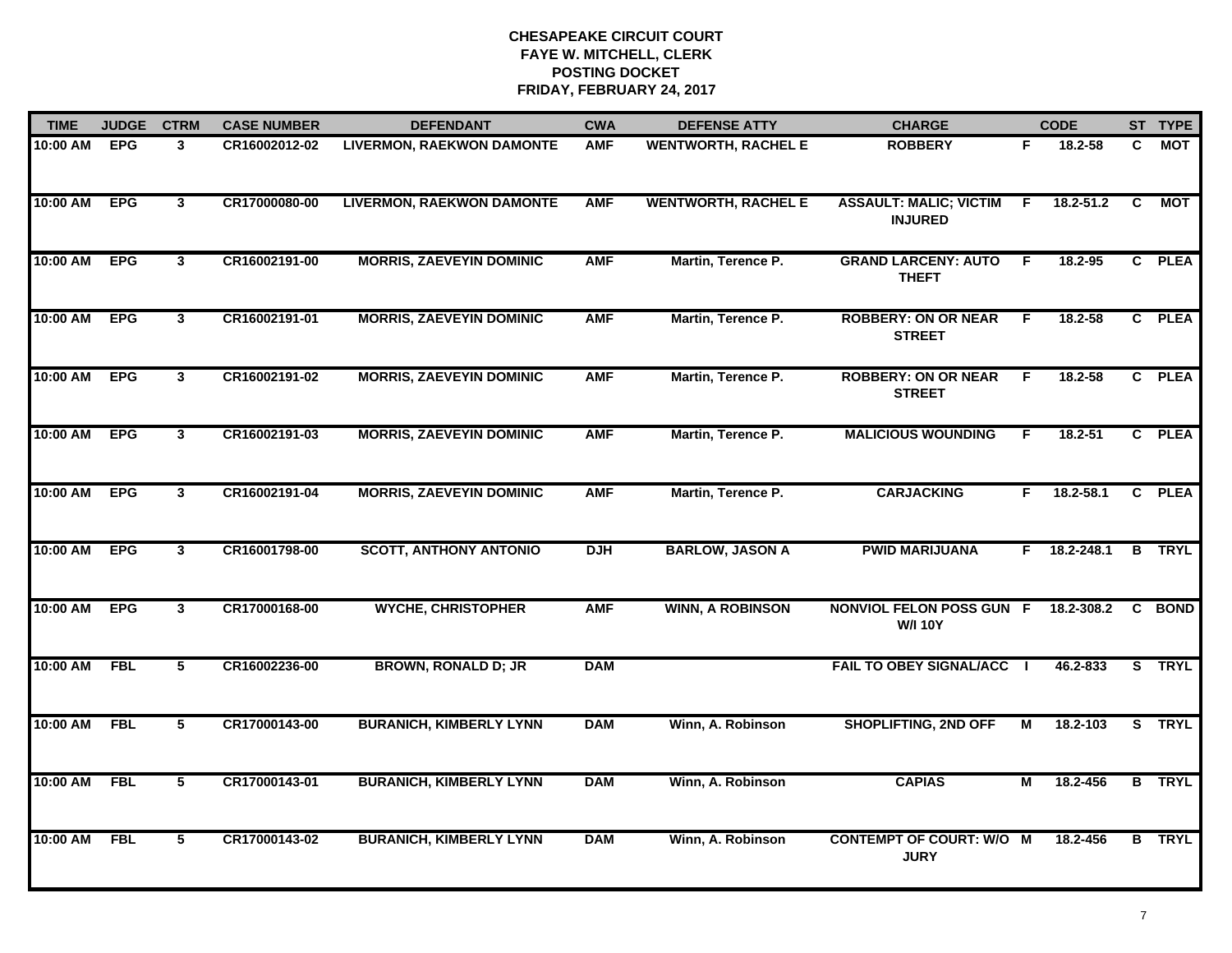| <b>TIME</b> | <b>JUDGE</b> | <b>CTRM</b>    | <b>CASE NUMBER</b> | <b>DEFENDANT</b>                 | <b>CWA</b> | <b>DEFENSE ATTY</b>        | <b>CHARGE</b>                                     |    | <b>CODE</b>    |    | ST TYPE       |
|-------------|--------------|----------------|--------------------|----------------------------------|------------|----------------------------|---------------------------------------------------|----|----------------|----|---------------|
| 10:00 AM    | <b>EPG</b>   | 3              | CR16002012-02      | <b>LIVERMON, RAEKWON DAMONTE</b> | <b>AMF</b> | <b>WENTWORTH, RACHEL E</b> | <b>ROBBERY</b>                                    | F. | 18.2-58        | C. | MOT           |
| 10:00 AM    | <b>EPG</b>   | $\mathbf{3}$   | CR17000080-00      | <b>LIVERMON, RAEKWON DAMONTE</b> | <b>AMF</b> | <b>WENTWORTH, RACHEL E</b> | <b>ASSAULT: MALIC; VICTIM</b><br><b>INJURED</b>   | F. | 18.2-51.2      | C  | MOT           |
| 10:00 AM    | <b>EPG</b>   | $\mathbf{3}$   | CR16002191-00      | <b>MORRIS, ZAEVEYIN DOMINIC</b>  | <b>AMF</b> | Martin, Terence P.         | <b>GRAND LARCENY: AUTO</b><br><b>THEFT</b>        | -F | 18.2-95        |    | C PLEA        |
| 10:00 AM    | <b>EPG</b>   | $\mathbf{3}$   | CR16002191-01      | <b>MORRIS, ZAEVEYIN DOMINIC</b>  | <b>AMF</b> | Martin, Terence P.         | <b>ROBBERY: ON OR NEAR</b><br><b>STREET</b>       | F  | 18.2-58        |    | C PLEA        |
| 10:00 AM    | <b>EPG</b>   | $\mathbf{3}$   | CR16002191-02      | <b>MORRIS, ZAEVEYIN DOMINIC</b>  | <b>AMF</b> | Martin, Terence P.         | <b>ROBBERY: ON OR NEAR</b><br><b>STREET</b>       | F. | $18.2 - 58$    |    | C PLEA        |
| 10:00 AM    | <b>EPG</b>   | $\mathbf{3}$   | CR16002191-03      | <b>MORRIS, ZAEVEYIN DOMINIC</b>  | <b>AMF</b> | Martin, Terence P.         | <b>MALICIOUS WOUNDING</b>                         | F. | 18.2-51        |    | C PLEA        |
| 10:00 AM    | <b>EPG</b>   | $\mathbf{3}$   | CR16002191-04      | <b>MORRIS, ZAEVEYIN DOMINIC</b>  | <b>AMF</b> | Martin, Terence P.         | <b>CARJACKING</b>                                 | F. | 18.2-58.1      |    | C PLEA        |
| 10:00 AM    | <b>EPG</b>   | $\mathbf{3}$   | CR16001798-00      | <b>SCOTT, ANTHONY ANTONIO</b>    | <b>DJH</b> | <b>BARLOW, JASON A</b>     | <b>PWID MARIJUANA</b>                             |    | $F$ 18.2-248.1 |    | <b>B</b> TRYL |
| 10:00 AM    | <b>EPG</b>   | 3              | CR17000168-00      | <b>WYCHE, CHRISTOPHER</b>        | <b>AMF</b> | <b>WINN, A ROBINSON</b>    | <b>NONVIOL FELON POSS GUN F</b><br><b>W/I 10Y</b> |    | 18.2-308.2     |    | C BOND        |
| 10:00 AM    | <b>FBL</b>   | 5              | CR16002236-00      | <b>BROWN, RONALD D; JR</b>       | <b>DAM</b> |                            | <b>FAIL TO OBEY SIGNAL/ACC  </b>                  |    | 46.2-833       |    | S TRYL        |
| 10:00 AM    | FBL          | 5              | CR17000143-00      | <b>BURANICH, KIMBERLY LYNN</b>   | <b>DAM</b> | Winn, A. Robinson          | <b>SHOPLIFTING, 2ND OFF</b>                       | М  | 18.2-103       |    | S TRYL        |
| 10:00 AM    | <b>FBL</b>   | $\overline{5}$ | CR17000143-01      | <b>BURANICH, KIMBERLY LYNN</b>   | <b>DAM</b> | Winn, A. Robinson          | <b>CAPIAS</b>                                     | М  | 18.2-456       |    | <b>B</b> TRYL |
| 10:00 AM    | <b>FBL</b>   | 5              | CR17000143-02      | <b>BURANICH, KIMBERLY LYNN</b>   | <b>DAM</b> | Winn, A. Robinson          | <b>CONTEMPT OF COURT: W/O M</b><br><b>JURY</b>    |    | 18.2-456       | B  | <b>TRYL</b>   |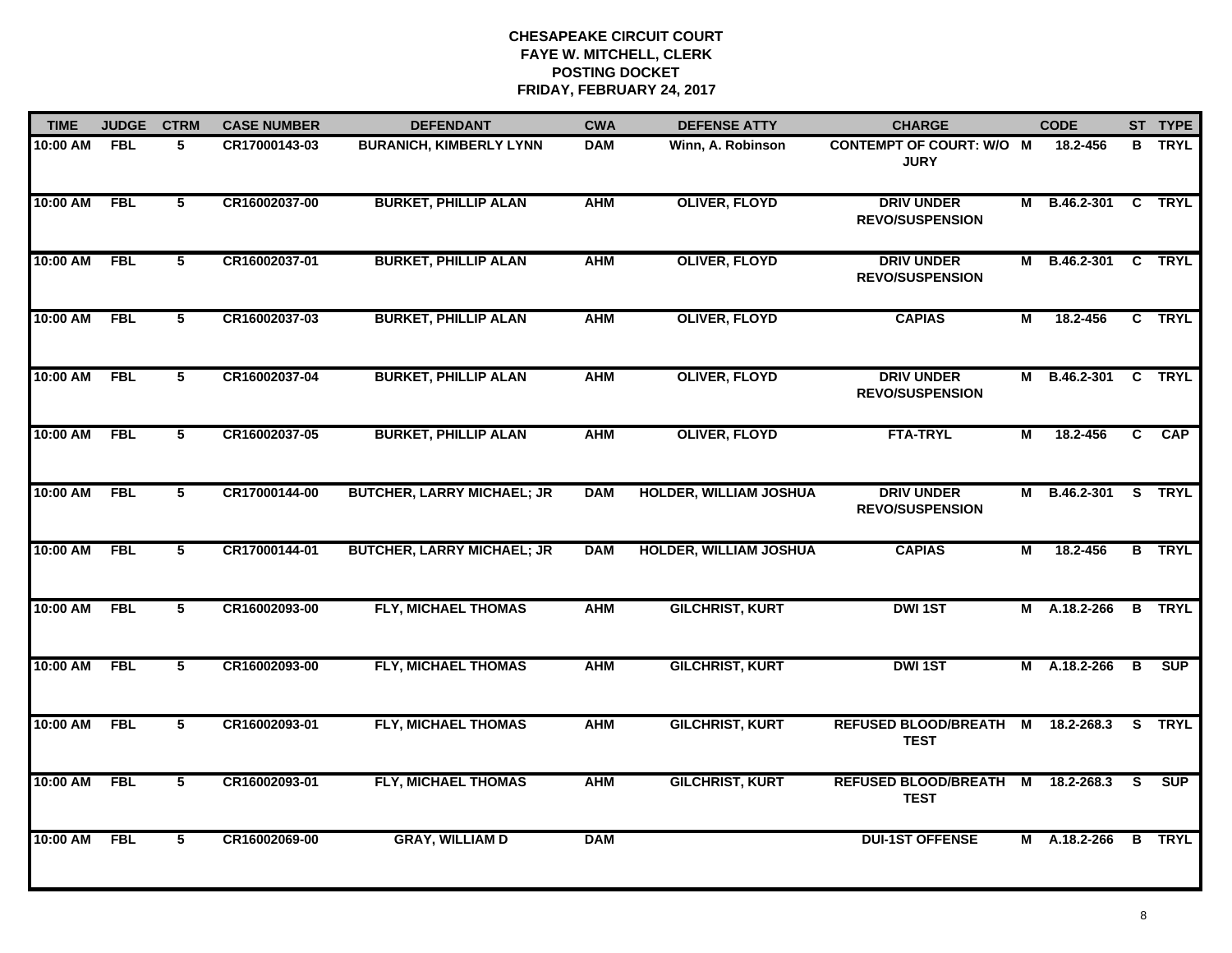| <b>TIME</b>  | <b>JUDGE</b> | <b>CTRM</b>    | <b>CASE NUMBER</b> | <b>DEFENDANT</b>                  | <b>CWA</b> | <b>DEFENSE ATTY</b>           | <b>CHARGE</b>                                    |   | <b>CODE</b>         |                | ST TYPE       |
|--------------|--------------|----------------|--------------------|-----------------------------------|------------|-------------------------------|--------------------------------------------------|---|---------------------|----------------|---------------|
| 10:00 AM     | <b>FBL</b>   | 5              | CR17000143-03      | <b>BURANICH, KIMBERLY LYNN</b>    | <b>DAM</b> | Winn, A. Robinson             | <b>CONTEMPT OF COURT: W/O M</b><br><b>JURY</b>   |   | 18.2-456            |                | <b>B</b> TRYL |
| 10:00 AM     | FBL          | 5              | CR16002037-00      | <b>BURKET, PHILLIP ALAN</b>       | <b>AHM</b> | <b>OLIVER, FLOYD</b>          | <b>DRIV UNDER</b><br><b>REVO/SUSPENSION</b>      |   | M B.46.2-301 C TRYL |                |               |
| 10:00 AM     | <b>FBL</b>   | $\overline{5}$ | CR16002037-01      | <b>BURKET, PHILLIP ALAN</b>       | <b>AHM</b> | <b>OLIVER, FLOYD</b>          | <b>DRIV UNDER</b><br><b>REVO/SUSPENSION</b>      |   | M B.46.2-301        |                | C TRYL        |
| 10:00 AM     | <b>FBL</b>   | 5              | CR16002037-03      | <b>BURKET, PHILLIP ALAN</b>       | <b>AHM</b> | <b>OLIVER, FLOYD</b>          | <b>CAPIAS</b>                                    | М | 18.2-456            |                | C TRYL        |
| 10:00 AM     | <b>FBL</b>   | 5              | CR16002037-04      | <b>BURKET, PHILLIP ALAN</b>       | <b>AHM</b> | <b>OLIVER, FLOYD</b>          | <b>DRIV UNDER</b><br><b>REVO/SUSPENSION</b>      |   | M B.46.2-301        |                | C TRYL        |
| 10:00 AM FBL |              | 5              | CR16002037-05      | <b>BURKET, PHILLIP ALAN</b>       | <b>AHM</b> | <b>OLIVER, FLOYD</b>          | <b>FTA-TRYL</b>                                  | М | 18.2-456            | $\overline{c}$ | CAP           |
| 10:00 AM     | FBL          | 5              | CR17000144-00      | <b>BUTCHER, LARRY MICHAEL; JR</b> | <b>DAM</b> | <b>HOLDER, WILLIAM JOSHUA</b> | <b>DRIV UNDER</b><br><b>REVO/SUSPENSION</b>      | М | B.46.2-301 S TRYL   |                |               |
| 10:00 AM     | <b>FBL</b>   | 5              | CR17000144-01      | <b>BUTCHER, LARRY MICHAEL; JR</b> | <b>DAM</b> | <b>HOLDER, WILLIAM JOSHUA</b> | <b>CAPIAS</b>                                    | М | 18.2-456            |                | <b>B</b> TRYL |
| 10:00 AM     | <b>FBL</b>   | 5              | CR16002093-00      | FLY, MICHAEL THOMAS               | <b>AHM</b> | <b>GILCHRIST, KURT</b>        | <b>DWI1ST</b>                                    | М | A.18.2-266          |                | <b>B</b> TRYL |
| 10:00 AM     | <b>FBL</b>   | 5              | CR16002093-00      | <b>FLY, MICHAEL THOMAS</b>        | <b>AHM</b> | <b>GILCHRIST, KURT</b>        | <b>DWI1ST</b>                                    |   | M A.18.2-266        | B              | <b>SUP</b>    |
| 10:00 AM FBL |              | 5              | CR16002093-01      | FLY, MICHAEL THOMAS               | <b>AHM</b> | <b>GILCHRIST, KURT</b>        | REFUSED BLOOD/BREATH M 18.2-268.3<br><b>TEST</b> |   |                     |                | S TRYL        |
| 10:00 AM FBL |              | 5              | CR16002093-01      | <b>FLY, MICHAEL THOMAS</b>        | <b>AHM</b> | <b>GILCHRIST, KURT</b>        | REFUSED BLOOD/BREATH M 18.2-268.3<br><b>TEST</b> |   |                     | <b>S</b>       | SUP           |
| 10:00 AM     | <b>FBL</b>   | 5              | CR16002069-00      | <b>GRAY, WILLIAM D</b>            | <b>DAM</b> |                               | <b>DUI-1ST OFFENSE</b>                           |   | M A.18.2-266        |                | <b>B</b> TRYL |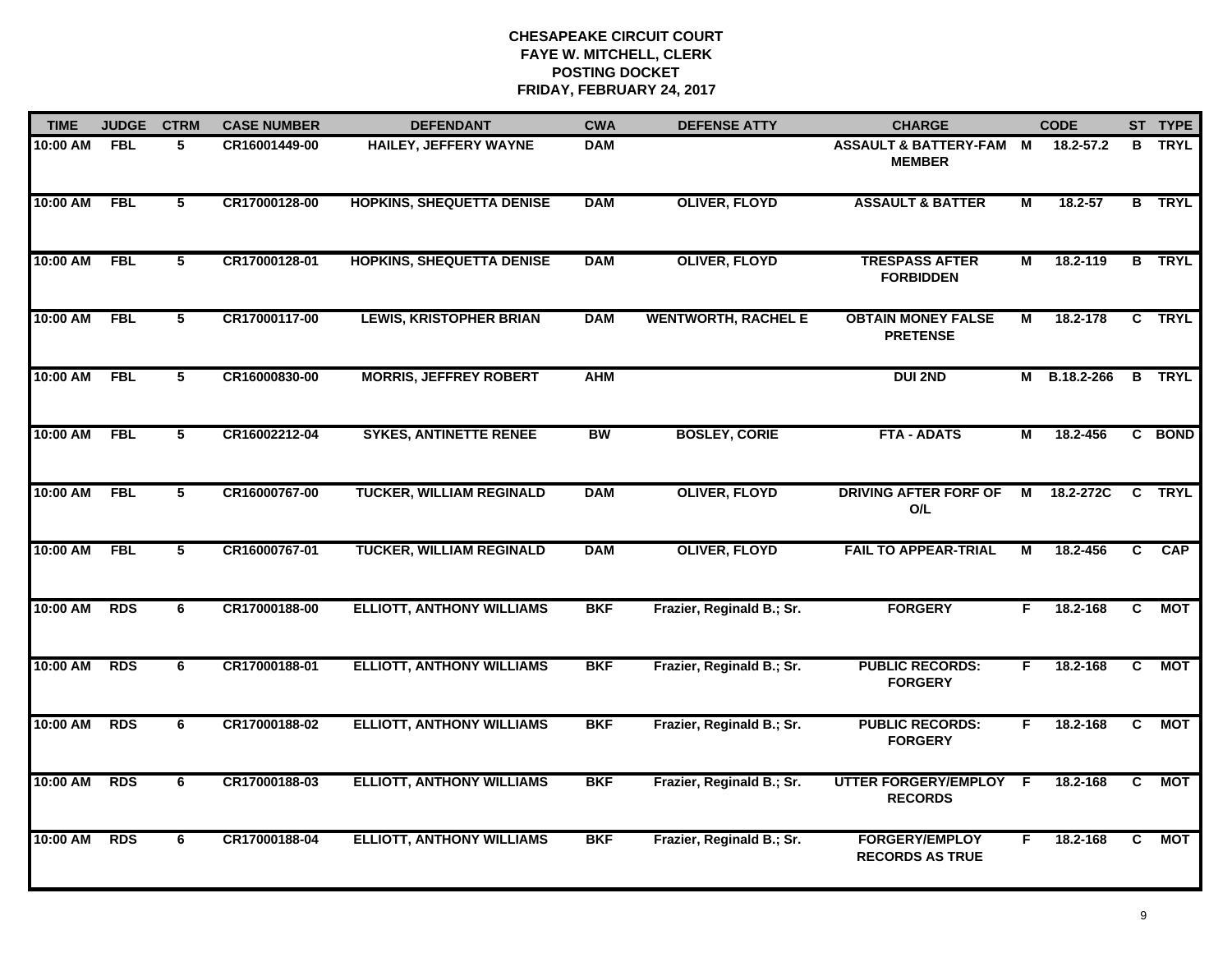| <b>TIME</b> | <b>JUDGE</b> | <b>CTRM</b>     | <b>CASE NUMBER</b> | <b>DEFENDANT</b>                 | <b>CWA</b> | <b>DEFENSE ATTY</b>        | <b>CHARGE</b>                                       |    | <b>CODE</b>  |              | ST TYPE       |
|-------------|--------------|-----------------|--------------------|----------------------------------|------------|----------------------------|-----------------------------------------------------|----|--------------|--------------|---------------|
| 10:00 AM    | <b>FBL</b>   | 5               | CR16001449-00      | HAILEY, JEFFERY WAYNE            | <b>DAM</b> |                            | <b>ASSAULT &amp; BATTERY-FAM M</b><br><b>MEMBER</b> |    | 18.2-57.2    |              | <b>B</b> TRYL |
| 10:00 AM    | <b>FBL</b>   | $5\phantom{.0}$ | CR17000128-00      | <b>HOPKINS, SHEQUETTA DENISE</b> | <b>DAM</b> | <b>OLIVER, FLOYD</b>       | <b>ASSAULT &amp; BATTER</b>                         | М  | 18.2-57      |              | <b>B</b> TRYL |
| 10:00 AM    | <b>FBL</b>   | $\overline{5}$  | CR17000128-01      | <b>HOPKINS, SHEQUETTA DENISE</b> | <b>DAM</b> | <b>OLIVER, FLOYD</b>       | <b>TRESPASS AFTER</b><br><b>FORBIDDEN</b>           | М  | 18.2-119     |              | <b>B</b> TRYL |
| 10:00 AM    | <b>FBL</b>   | 5               | CR17000117-00      | <b>LEWIS, KRISTOPHER BRIAN</b>   | <b>DAM</b> | <b>WENTWORTH, RACHEL E</b> | <b>OBTAIN MONEY FALSE</b><br><b>PRETENSE</b>        | М  | 18.2-178     |              | C TRYL        |
| 10:00 AM    | <b>FBL</b>   | 5               | CR16000830-00      | <b>MORRIS, JEFFREY ROBERT</b>    | <b>AHM</b> |                            | <b>DUI 2ND</b>                                      |    | M B.18.2-266 |              | <b>B</b> TRYL |
| 10:00 AM    | <b>FBL</b>   | 5               | CR16002212-04      | <b>SYKES, ANTINETTE RENEE</b>    | <b>BW</b>  | <b>BOSLEY, CORIE</b>       | <b>FTA - ADATS</b>                                  | М  | 18.2-456     |              | C BOND        |
| 10:00 AM    | <b>FBL</b>   | 5               | CR16000767-00      | <b>TUCKER, WILLIAM REGINALD</b>  | <b>DAM</b> | <b>OLIVER, FLOYD</b>       | <b>DRIVING AFTER FORF OF</b><br>O/L                 | М  | 18.2-272C    | C            | <b>TRYL</b>   |
| 10:00 AM    | <b>FBL</b>   | $\overline{5}$  | CR16000767-01      | <b>TUCKER, WILLIAM REGINALD</b>  | <b>DAM</b> | <b>OLIVER, FLOYD</b>       | <b>FAIL TO APPEAR-TRIAL</b>                         | М  | 18.2-456     | C            | <b>CAP</b>    |
| 10:00 AM    | <b>RDS</b>   | 6               | CR17000188-00      | <b>ELLIOTT, ANTHONY WILLIAMS</b> | <b>BKF</b> | Frazier, Reginald B.; Sr.  | <b>FORGERY</b>                                      | F. | 18.2-168     | C.           | <b>MOT</b>    |
| 10:00 AM    | <b>RDS</b>   | 6               | CR17000188-01      | <b>ELLIOTT, ANTHONY WILLIAMS</b> | <b>BKF</b> | Frazier, Reginald B.; Sr.  | <b>PUBLIC RECORDS:</b><br><b>FORGERY</b>            | F. | 18.2-168     | $\mathbf{C}$ | MOT           |
| 10:00 AM    | <b>RDS</b>   | 6               | CR17000188-02      | <b>ELLIOTT, ANTHONY WILLIAMS</b> | <b>BKF</b> | Frazier, Reginald B.; Sr.  | <b>PUBLIC RECORDS:</b><br><b>FORGERY</b>            | F. | 18.2-168     | C            | <b>MOT</b>    |
| 10:00 AM    | <b>RDS</b>   | 6               | CR17000188-03      | <b>ELLIOTT, ANTHONY WILLIAMS</b> | <b>BKF</b> | Frazier, Reginald B.; Sr.  | UTTER FORGERY/EMPLOY F<br><b>RECORDS</b>            |    | 18.2-168     | C            | <b>MOT</b>    |
| 10:00 AM    | <b>RDS</b>   | 6               | CR17000188-04      | <b>ELLIOTT, ANTHONY WILLIAMS</b> | <b>BKF</b> | Frazier, Reginald B.; Sr.  | <b>FORGERY/EMPLOY</b><br><b>RECORDS AS TRUE</b>     | F  | 18.2-168     | C            | <b>MOT</b>    |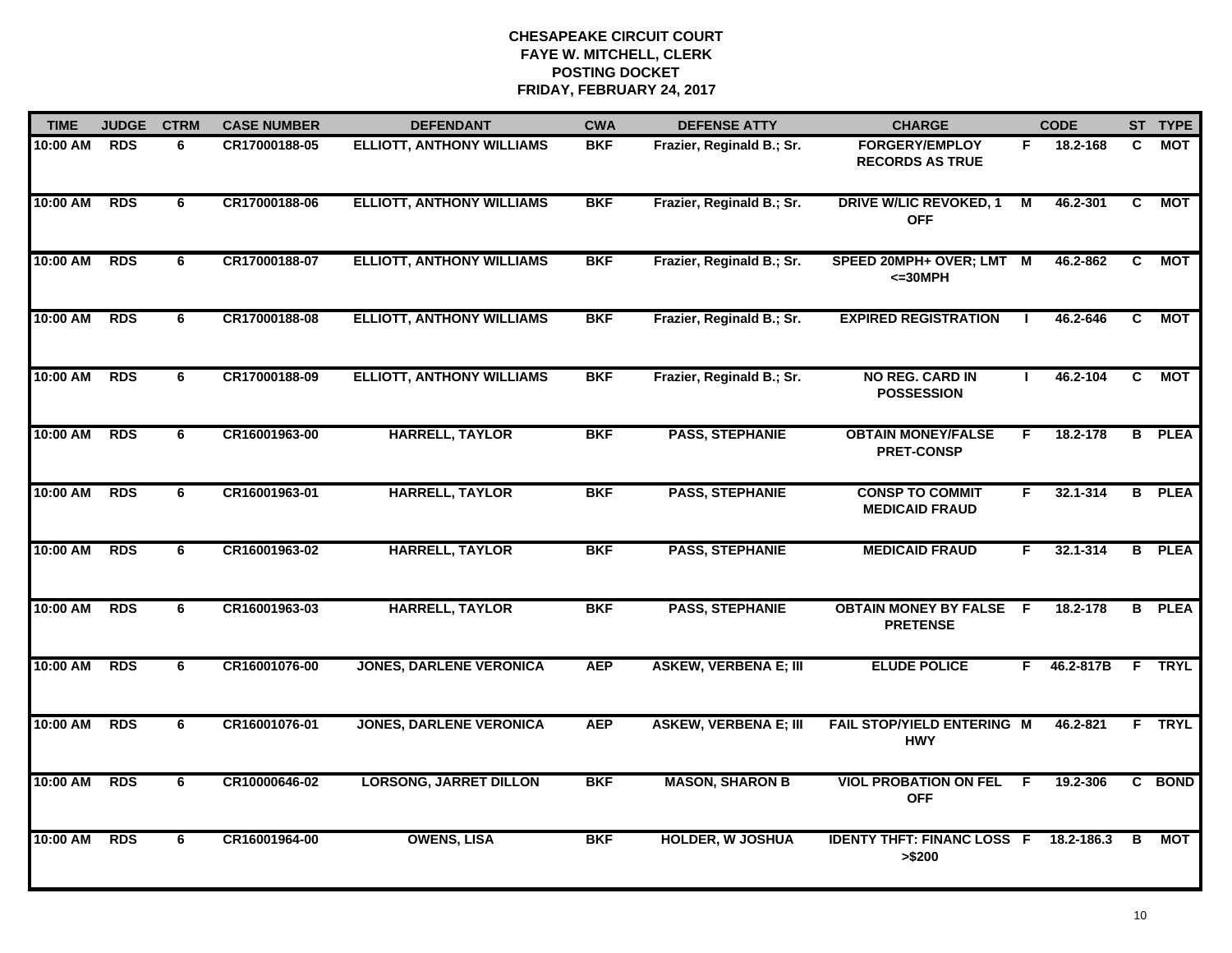| <b>TIME</b> | <b>JUDGE</b> | <b>CTRM</b> | <b>CASE NUMBER</b> | <b>DEFENDANT</b>                 | <b>CWA</b> | <b>DEFENSE ATTY</b>          | <b>CHARGE</b>                                   |                | <b>CODE</b>  |                | ST TYPE       |
|-------------|--------------|-------------|--------------------|----------------------------------|------------|------------------------------|-------------------------------------------------|----------------|--------------|----------------|---------------|
| 10:00 AM    | <b>RDS</b>   | 6           | CR17000188-05      | <b>ELLIOTT, ANTHONY WILLIAMS</b> | <b>BKF</b> | Frazier, Reginald B.; Sr.    | <b>FORGERY/EMPLOY</b><br><b>RECORDS AS TRUE</b> | F.             | 18.2-168     | C              | МОТ           |
| 10:00 AM    | <b>RDS</b>   | 6           | CR17000188-06      | <b>ELLIOTT, ANTHONY WILLIAMS</b> | <b>BKF</b> | Frazier, Reginald B.; Sr.    | <b>DRIVE W/LIC REVOKED, 1</b><br><b>OFF</b>     | $\overline{M}$ | 46.2-301     | C              | <b>MOT</b>    |
| 10:00 AM    | <b>RDS</b>   | 6           | CR17000188-07      | <b>ELLIOTT, ANTHONY WILLIAMS</b> | <b>BKF</b> | Frazier, Reginald B.; Sr.    | SPEED 20MPH+ OVER; LMT<br>$<=30MPH$             | M              | 46.2-862     | $\overline{c}$ | <b>MOT</b>    |
| 10:00 AM    | <b>RDS</b>   | 6           | CR17000188-08      | <b>ELLIOTT, ANTHONY WILLIAMS</b> | <b>BKF</b> | Frazier, Reginald B.; Sr.    | <b>EXPIRED REGISTRATION</b>                     |                | 46.2-646     | C              | <b>MOT</b>    |
| 10:00 AM    | <b>RDS</b>   | 6           | CR17000188-09      | <b>ELLIOTT, ANTHONY WILLIAMS</b> | <b>BKF</b> | Frazier, Reginald B.; Sr.    | <b>NO REG. CARD IN</b><br><b>POSSESSION</b>     |                | 46.2-104     | C              | <b>MOT</b>    |
| 10:00 AM    | <b>RDS</b>   | 6           | CR16001963-00      | <b>HARRELL, TAYLOR</b>           | <b>BKF</b> | <b>PASS, STEPHANIE</b>       | <b>OBTAIN MONEY/FALSE</b><br><b>PRET-CONSP</b>  | F.             | 18.2-178     |                | <b>B</b> PLEA |
| 10:00 AM    | <b>RDS</b>   | 6           | CR16001963-01      | <b>HARRELL, TAYLOR</b>           | <b>BKF</b> | <b>PASS, STEPHANIE</b>       | <b>CONSP TO COMMIT</b><br><b>MEDICAID FRAUD</b> | F.             | 32.1-314     | B              | <b>PLEA</b>   |
| 10:00 AM    | <b>RDS</b>   | 6           | CR16001963-02      | <b>HARRELL, TAYLOR</b>           | <b>BKF</b> | <b>PASS, STEPHANIE</b>       | <b>MEDICAID FRAUD</b>                           | F.             | $32.1 - 314$ |                | <b>B</b> PLEA |
| 10:00 AM    | <b>RDS</b>   | 6           | CR16001963-03      | <b>HARRELL, TAYLOR</b>           | <b>BKF</b> | <b>PASS, STEPHANIE</b>       | <b>OBTAIN MONEY BY FALSE</b><br><b>PRETENSE</b> | - F            | 18.2-178     | B              | <b>PLEA</b>   |
| 10:00 AM    | <b>RDS</b>   | 6           | CR16001076-00      | <b>JONES, DARLENE VERONICA</b>   | <b>AEP</b> | <b>ASKEW, VERBENA E; III</b> | <b>ELUDE POLICE</b>                             | F.             | 46.2-817B    | F              | <b>TRYL</b>   |
| 10:00 AM    | <b>RDS</b>   | 6           | CR16001076-01      | <b>JONES, DARLENE VERONICA</b>   | <b>AEP</b> | <b>ASKEW, VERBENA E; III</b> | FAIL STOP/YIELD ENTERING M<br><b>HWY</b>        |                | 46.2-821     |                | F TRYL        |
| 10:00 AM    | <b>RDS</b>   | 6           | CR10000646-02      | <b>LORSONG, JARRET DILLON</b>    | <b>BKF</b> | <b>MASON, SHARON B</b>       | <b>VIOL PROBATION ON FEL</b><br><b>OFF</b>      | -F.            | 19.2-306     |                | C BOND        |
| 10:00 AM    | <b>RDS</b>   | -6          | CR16001964-00      | <b>OWENS, LISA</b>               | <b>BKF</b> | <b>HOLDER, W JOSHUA</b>      | <b>IDENTY THFT: FINANC LOSS F</b><br>> \$200    |                | 18.2-186.3   | в              | <b>MOT</b>    |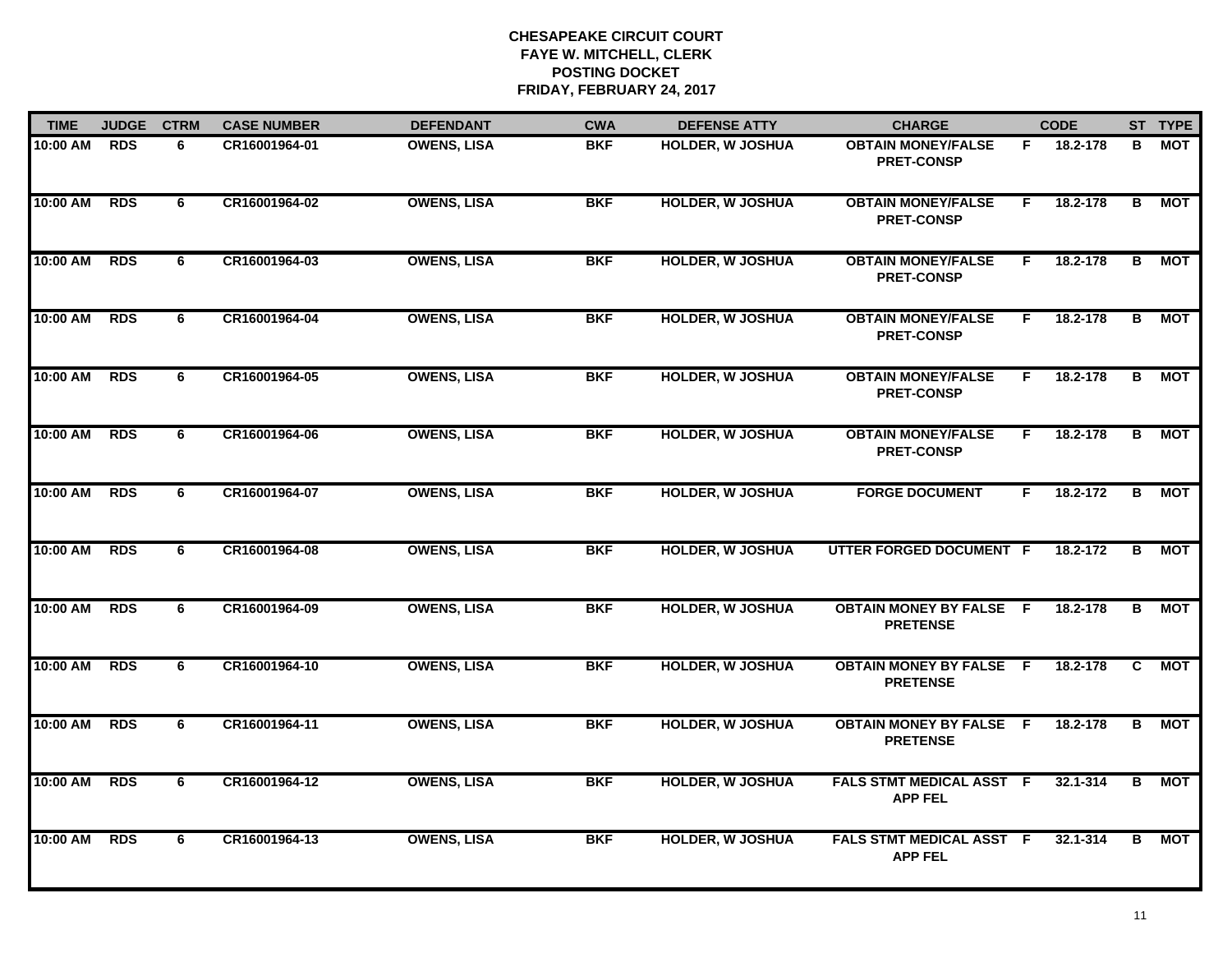| <b>TIME</b> | <b>JUDGE</b> | <b>CTRM</b> | <b>CASE NUMBER</b> | <b>DEFENDANT</b>   | <b>CWA</b> | <b>DEFENSE ATTY</b>     | <b>CHARGE</b>                                     |    | <b>CODE</b> |                | ST TYPE    |
|-------------|--------------|-------------|--------------------|--------------------|------------|-------------------------|---------------------------------------------------|----|-------------|----------------|------------|
| 10:00 AM    | <b>RDS</b>   | 6           | CR16001964-01      | <b>OWENS, LISA</b> | <b>BKF</b> | <b>HOLDER, W JOSHUA</b> | <b>OBTAIN MONEY/FALSE</b><br><b>PRET-CONSP</b>    | F. | 18.2-178    | В              | МОТ        |
| 10:00 AM    | <b>RDS</b>   | 6           | CR16001964-02      | <b>OWENS, LISA</b> | <b>BKF</b> | <b>HOLDER, W JOSHUA</b> | <b>OBTAIN MONEY/FALSE</b><br><b>PRET-CONSP</b>    | F. | 18.2-178    | В              | <b>MOT</b> |
| 10:00 AM    | <b>RDS</b>   | 6           | CR16001964-03      | <b>OWENS, LISA</b> | <b>BKF</b> | <b>HOLDER, W JOSHUA</b> | <b>OBTAIN MONEY/FALSE</b><br><b>PRET-CONSP</b>    | F. | 18.2-178    | $\overline{B}$ | <b>MOT</b> |
| 10:00 AM    | <b>RDS</b>   | 6           | CR16001964-04      | <b>OWENS, LISA</b> | <b>BKF</b> | <b>HOLDER, W JOSHUA</b> | <b>OBTAIN MONEY/FALSE</b><br><b>PRET-CONSP</b>    | F. | 18.2-178    | В              | МОТ        |
| 10:00 AM    | <b>RDS</b>   | 6           | CR16001964-05      | <b>OWENS, LISA</b> | <b>BKF</b> | <b>HOLDER, W JOSHUA</b> | <b>OBTAIN MONEY/FALSE</b><br><b>PRET-CONSP</b>    | F. | 18.2-178    | B              | МОТ        |
| 10:00 AM    | <b>RDS</b>   | 6           | CR16001964-06      | <b>OWENS, LISA</b> | <b>BKF</b> | <b>HOLDER, W JOSHUA</b> | <b>OBTAIN MONEY/FALSE</b><br><b>PRET-CONSP</b>    | F. | 18.2-178    | В              | <b>MOT</b> |
| 10:00 AM    | <b>RDS</b>   | 6           | CR16001964-07      | <b>OWENS, LISA</b> | <b>BKF</b> | <b>HOLDER, W JOSHUA</b> | <b>FORGE DOCUMENT</b>                             | F. | 18.2-172    | в              | <b>MOT</b> |
| 10:00 AM    | <b>RDS</b>   | 6           | CR16001964-08      | <b>OWENS, LISA</b> | <b>BKF</b> | <b>HOLDER, W JOSHUA</b> | UTTER FORGED DOCUMENT F                           |    | 18.2-172    | B              | МОТ        |
| 10:00 AM    | <b>RDS</b>   | 6           | CR16001964-09      | <b>OWENS, LISA</b> | <b>BKF</b> | <b>HOLDER, W JOSHUA</b> | <b>OBTAIN MONEY BY FALSE F</b><br><b>PRETENSE</b> |    | 18.2-178    | B              | MOT        |
| 10:00 AM    | <b>RDS</b>   | 6           | CR16001964-10      | <b>OWENS, LISA</b> | <b>BKF</b> | <b>HOLDER, W JOSHUA</b> | <b>OBTAIN MONEY BY FALSE F</b><br><b>PRETENSE</b> |    | 18.2-178    | C.             | MOT        |
| 10:00 AM    | <b>RDS</b>   | 6           | CR16001964-11      | <b>OWENS, LISA</b> | <b>BKF</b> | <b>HOLDER, W JOSHUA</b> | <b>OBTAIN MONEY BY FALSE F</b><br><b>PRETENSE</b> |    | 18.2-178    | B              | <b>MOT</b> |
| 10:00 AM    | <b>RDS</b>   | 6           | CR16001964-12      | <b>OWENS, LISA</b> | <b>BKF</b> | <b>HOLDER, W JOSHUA</b> | FALS STMT MEDICAL ASST F<br><b>APP FEL</b>        |    | 32.1-314    | В              | <b>MOT</b> |
| 10:00 AM    | <b>RDS</b>   | 6           | CR16001964-13      | <b>OWENS, LISA</b> | <b>BKF</b> | <b>HOLDER, W JOSHUA</b> | <b>FALS STMT MEDICAL ASST F</b><br><b>APP FEL</b> |    | 32.1-314    | B              | MOT        |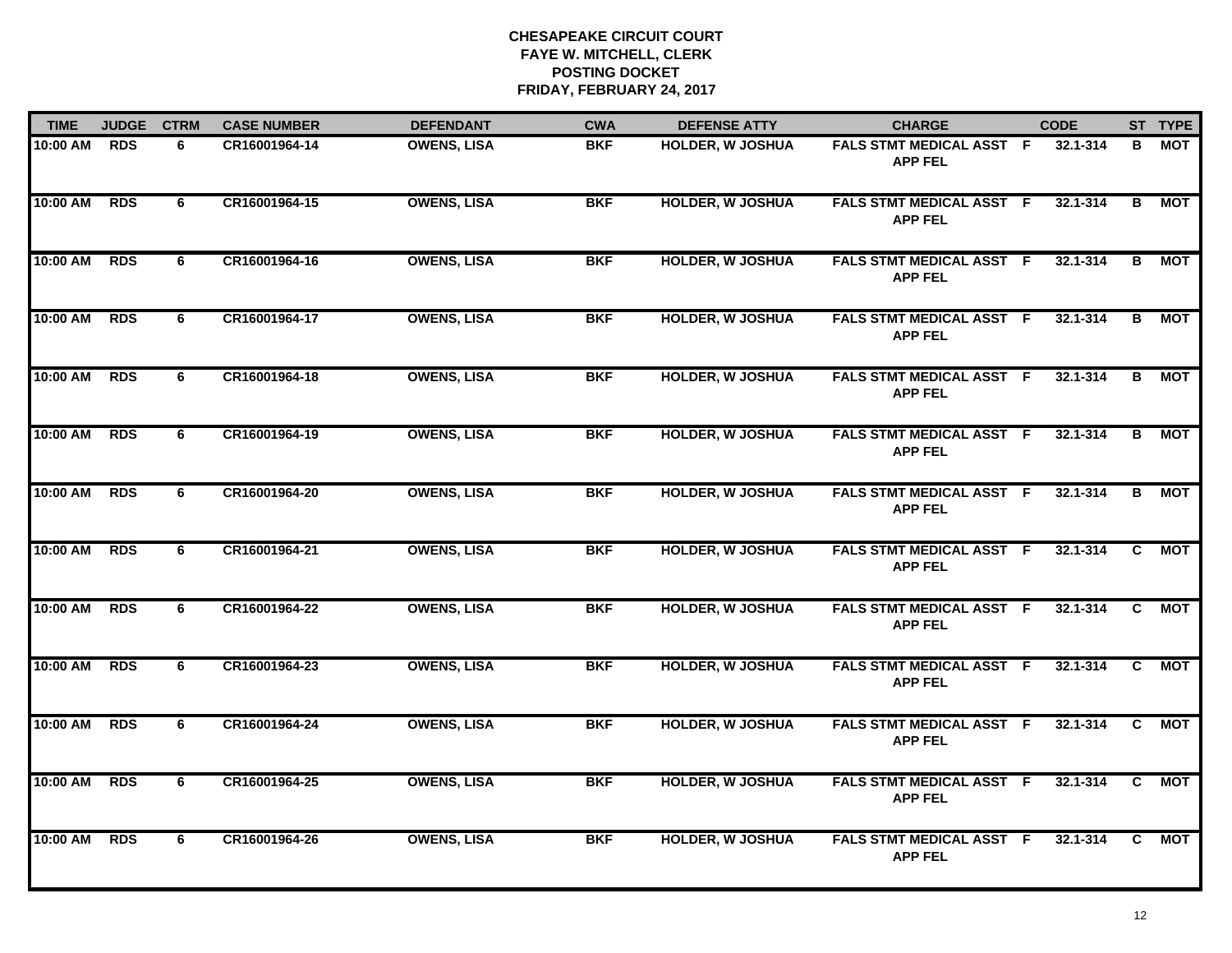| <b>TIME</b> | <b>JUDGE</b> | <b>CTRM</b> | <b>CASE NUMBER</b> | <b>DEFENDANT</b>   | <b>CWA</b> | <b>DEFENSE ATTY</b>     | <b>CHARGE</b>                                     | <b>CODE</b>  |                | ST TYPE    |
|-------------|--------------|-------------|--------------------|--------------------|------------|-------------------------|---------------------------------------------------|--------------|----------------|------------|
| 10:00 AM    | <b>RDS</b>   | 6           | CR16001964-14      | <b>OWENS, LISA</b> | <b>BKF</b> | HOLDER, W JOSHUA        | FALS STMT MEDICAL ASST F<br><b>APP FEL</b>        | 32.1-314     | В              | MOT        |
| 10:00 AM    | <b>RDS</b>   | 6           | CR16001964-15      | <b>OWENS, LISA</b> | <b>BKF</b> | <b>HOLDER, W JOSHUA</b> | <b>FALS STMT MEDICAL ASST F</b><br><b>APP FEL</b> | 32.1-314     | B              | MOT        |
| 10:00 AM    | <b>RDS</b>   | 6           | CR16001964-16      | <b>OWENS, LISA</b> | <b>BKF</b> | <b>HOLDER, W JOSHUA</b> | <b>FALS STMT MEDICAL ASST F</b><br><b>APP FEL</b> | 32.1-314     | B              | MOT        |
| 10:00 AM    | <b>RDS</b>   | 6           | CR16001964-17      | <b>OWENS, LISA</b> | <b>BKF</b> | <b>HOLDER, W JOSHUA</b> | FALS STMT MEDICAL ASST F<br><b>APP FEL</b>        | 32.1-314     | B              | <b>MOT</b> |
| 10:00 AM    | <b>RDS</b>   | 6           | CR16001964-18      | <b>OWENS, LISA</b> | <b>BKF</b> | <b>HOLDER, W JOSHUA</b> | <b>FALS STMT MEDICAL ASST F</b><br><b>APP FEL</b> | 32.1-314     | B              | МОТ        |
| 10:00 AM    | <b>RDS</b>   | 6           | CR16001964-19      | <b>OWENS, LISA</b> | <b>BKF</b> | <b>HOLDER, W JOSHUA</b> | <b>FALS STMT MEDICAL ASST F</b><br><b>APP FEL</b> | 32.1-314     | В              | <b>MOT</b> |
| 10:00 AM    | <b>RDS</b>   | 6           | CR16001964-20      | <b>OWENS, LISA</b> | <b>BKF</b> | <b>HOLDER, W JOSHUA</b> | <b>FALS STMT MEDICAL ASST F</b><br><b>APP FEL</b> | $32.1 - 314$ | $\overline{B}$ | <b>MOT</b> |
| 10:00 AM    | <b>RDS</b>   | 6           | CR16001964-21      | <b>OWENS, LISA</b> | <b>BKF</b> | <b>HOLDER, W JOSHUA</b> | <b>FALS STMT MEDICAL ASST F</b><br><b>APP FEL</b> | $32.1 - 314$ | C.             | <b>MOT</b> |
| 10:00 AM    | <b>RDS</b>   | 6           | CR16001964-22      | <b>OWENS, LISA</b> | <b>BKF</b> | <b>HOLDER, W JOSHUA</b> | FALS STMT MEDICAL ASST F<br><b>APP FEL</b>        | 32.1-314     | C.             | <b>MOT</b> |
| 10:00 AM    | <b>RDS</b>   | 6           | CR16001964-23      | <b>OWENS, LISA</b> | <b>BKF</b> | <b>HOLDER, W JOSHUA</b> | FALS STMT MEDICAL ASST F<br><b>APP FEL</b>        | 32.1-314     | C.             | MOT        |
| 10:00 AM    | <b>RDS</b>   | 6           | CR16001964-24      | <b>OWENS, LISA</b> | <b>BKF</b> | <b>HOLDER, W JOSHUA</b> | FALS STMT MEDICAL ASST F<br><b>APP FEL</b>        | $32.1 - 314$ | C.             | <b>MOT</b> |
| 10:00 AM    | <b>RDS</b>   | 6           | CR16001964-25      | <b>OWENS, LISA</b> | <b>BKF</b> | <b>HOLDER, W JOSHUA</b> | FALS STMT MEDICAL ASST F<br><b>APP FEL</b>        | $32.1 - 314$ | $\overline{c}$ | <b>MOT</b> |
| 10:00 AM    | <b>RDS</b>   | 6           | CR16001964-26      | <b>OWENS, LISA</b> | <b>BKF</b> | <b>HOLDER, W JOSHUA</b> | FALS STMT MEDICAL ASST F<br><b>APP FEL</b>        | 32.1-314     | C.             | <b>MOT</b> |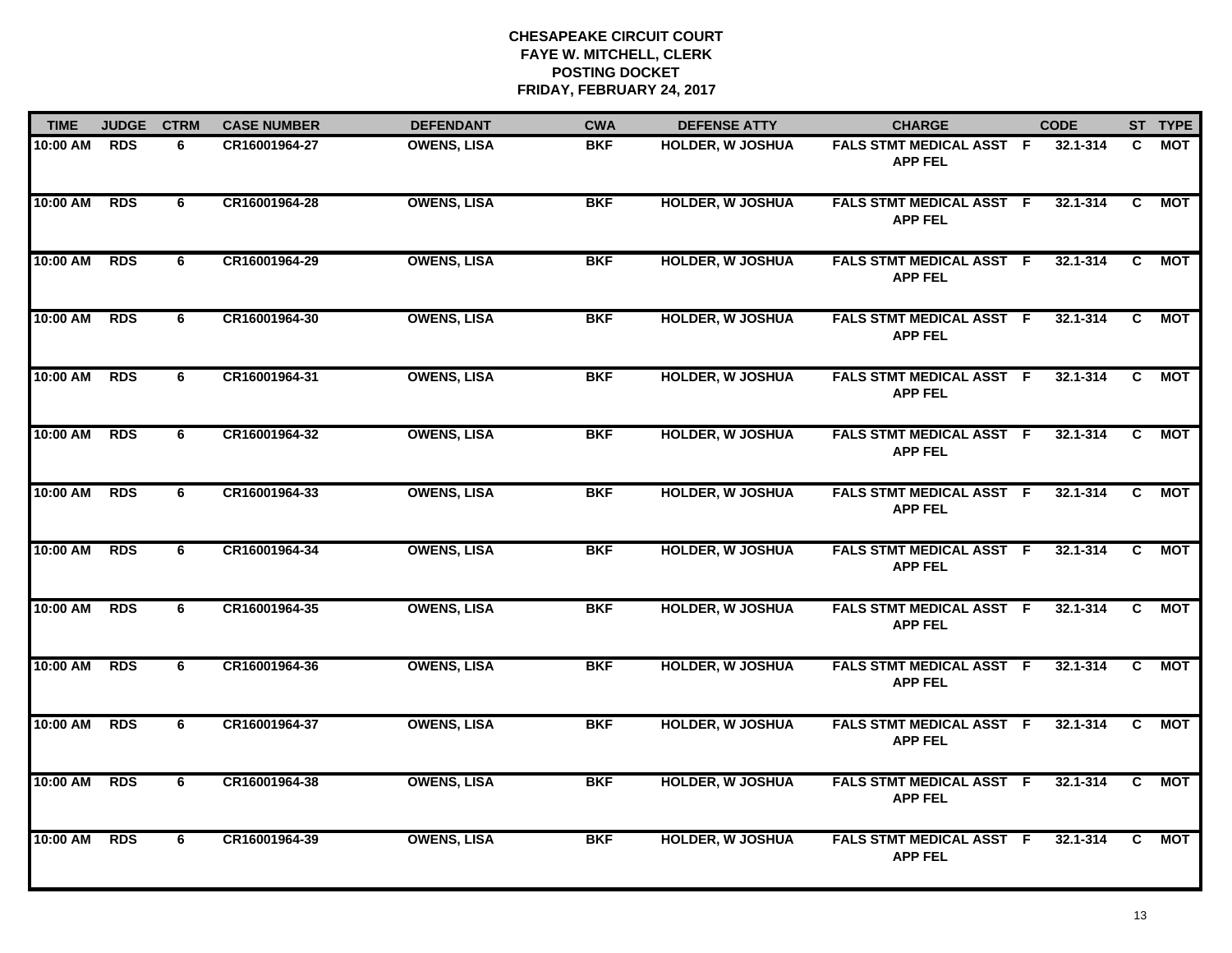| <b>TIME</b> | <b>JUDGE</b> | <b>CTRM</b> | <b>CASE NUMBER</b> | <b>DEFENDANT</b>   | <b>CWA</b> | <b>DEFENSE ATTY</b>     | <b>CHARGE</b>                                     | <b>CODE</b>  |                | ST TYPE    |
|-------------|--------------|-------------|--------------------|--------------------|------------|-------------------------|---------------------------------------------------|--------------|----------------|------------|
| 10:00 AM    | <b>RDS</b>   | 6           | CR16001964-27      | <b>OWENS, LISA</b> | <b>BKF</b> | HOLDER, W JOSHUA        | FALS STMT MEDICAL ASST F<br><b>APP FEL</b>        | 32.1-314     | C.             | MOT        |
| 10:00 AM    | <b>RDS</b>   | 6           | CR16001964-28      | <b>OWENS, LISA</b> | <b>BKF</b> | <b>HOLDER, W JOSHUA</b> | <b>FALS STMT MEDICAL ASST F</b><br><b>APP FEL</b> | 32.1-314     | C              | MOT        |
| 10:00 AM    | <b>RDS</b>   | 6           | CR16001964-29      | <b>OWENS, LISA</b> | <b>BKF</b> | <b>HOLDER, W JOSHUA</b> | <b>FALS STMT MEDICAL ASST F</b><br><b>APP FEL</b> | 32.1-314     | C              | MOT        |
| 10:00 AM    | <b>RDS</b>   | 6           | CR16001964-30      | <b>OWENS, LISA</b> | <b>BKF</b> | <b>HOLDER, W JOSHUA</b> | FALS STMT MEDICAL ASST F<br><b>APP FEL</b>        | 32.1-314     | C.             | <b>MOT</b> |
| 10:00 AM    | <b>RDS</b>   | 6           | CR16001964-31      | <b>OWENS, LISA</b> | <b>BKF</b> | <b>HOLDER, W JOSHUA</b> | FALS STMT MEDICAL ASST F<br><b>APP FEL</b>        | 32.1-314     | C.             | МОТ        |
| 10:00 AM    | <b>RDS</b>   | 6           | CR16001964-32      | <b>OWENS, LISA</b> | <b>BKF</b> | <b>HOLDER, W JOSHUA</b> | <b>FALS STMT MEDICAL ASST F</b><br><b>APP FEL</b> | 32.1-314     | C.             | <b>MOT</b> |
| 10:00 AM    | <b>RDS</b>   | 6           | CR16001964-33      | <b>OWENS, LISA</b> | <b>BKF</b> | <b>HOLDER, W JOSHUA</b> | <b>FALS STMT MEDICAL ASST F</b><br><b>APP FEL</b> | $32.1 - 314$ | $\overline{c}$ | <b>MOT</b> |
| 10:00 AM    | <b>RDS</b>   | 6           | CR16001964-34      | <b>OWENS, LISA</b> | <b>BKF</b> | <b>HOLDER, W JOSHUA</b> | <b>FALS STMT MEDICAL ASST F</b><br><b>APP FEL</b> | $32.1 - 314$ | C.             | <b>MOT</b> |
| 10:00 AM    | <b>RDS</b>   | 6           | CR16001964-35      | <b>OWENS, LISA</b> | <b>BKF</b> | <b>HOLDER, W JOSHUA</b> | <b>FALS STMT MEDICAL ASST F</b><br><b>APP FEL</b> | 32.1-314     | C.             | <b>MOT</b> |
| 10:00 AM    | <b>RDS</b>   | 6           | CR16001964-36      | <b>OWENS, LISA</b> | <b>BKF</b> | <b>HOLDER, W JOSHUA</b> | FALS STMT MEDICAL ASST F<br><b>APP FEL</b>        | 32.1-314     | C.             | MOT        |
| 10:00 AM    | <b>RDS</b>   | 6           | CR16001964-37      | <b>OWENS, LISA</b> | <b>BKF</b> | <b>HOLDER, W JOSHUA</b> | FALS STMT MEDICAL ASST F<br><b>APP FEL</b>        | $32.1 - 314$ | C.             | <b>MOT</b> |
| 10:00 AM    | <b>RDS</b>   | 6           | CR16001964-38      | <b>OWENS, LISA</b> | <b>BKF</b> | <b>HOLDER, W JOSHUA</b> | FALS STMT MEDICAL ASST F<br><b>APP FEL</b>        | $32.1 - 314$ | $\overline{c}$ | <b>MOT</b> |
| 10:00 AM    | <b>RDS</b>   | 6           | CR16001964-39      | <b>OWENS, LISA</b> | <b>BKF</b> | <b>HOLDER, W JOSHUA</b> | FALS STMT MEDICAL ASST F<br><b>APP FEL</b>        | 32.1-314     | C.             | <b>MOT</b> |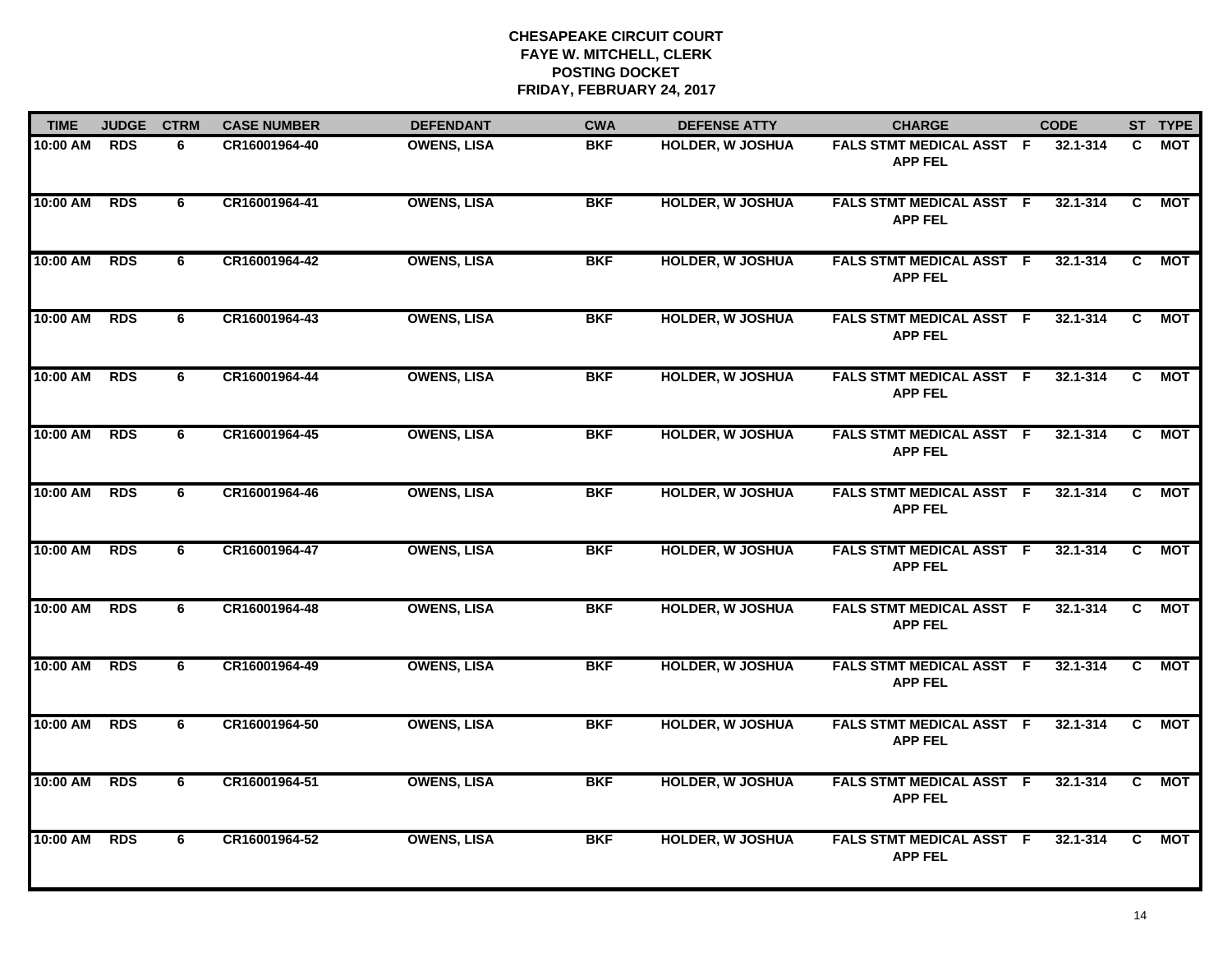| <b>TIME</b> | <b>JUDGE</b> | <b>CTRM</b> | <b>CASE NUMBER</b> | <b>DEFENDANT</b>   | <b>CWA</b> | <b>DEFENSE ATTY</b>     | <b>CHARGE</b>                                     | <b>CODE</b>  |                | ST TYPE    |
|-------------|--------------|-------------|--------------------|--------------------|------------|-------------------------|---------------------------------------------------|--------------|----------------|------------|
| 10:00 AM    | <b>RDS</b>   | 6           | CR16001964-40      | <b>OWENS, LISA</b> | <b>BKF</b> | HOLDER, W JOSHUA        | FALS STMT MEDICAL ASST F<br><b>APP FEL</b>        | 32.1-314     | C.             | MOT        |
| 10:00 AM    | <b>RDS</b>   | 6           | CR16001964-41      | <b>OWENS, LISA</b> | <b>BKF</b> | <b>HOLDER, W JOSHUA</b> | <b>FALS STMT MEDICAL ASST F</b><br><b>APP FEL</b> | 32.1-314     | C              | MOT        |
| 10:00 AM    | <b>RDS</b>   | 6           | CR16001964-42      | <b>OWENS, LISA</b> | <b>BKF</b> | <b>HOLDER, W JOSHUA</b> | <b>FALS STMT MEDICAL ASST F</b><br><b>APP FEL</b> | 32.1-314     | C              | MOT        |
| 10:00 AM    | <b>RDS</b>   | 6           | CR16001964-43      | <b>OWENS, LISA</b> | <b>BKF</b> | <b>HOLDER, W JOSHUA</b> | FALS STMT MEDICAL ASST F<br><b>APP FEL</b>        | 32.1-314     | C.             | <b>MOT</b> |
| 10:00 AM    | <b>RDS</b>   | 6           | CR16001964-44      | <b>OWENS, LISA</b> | <b>BKF</b> | <b>HOLDER, W JOSHUA</b> | FALS STMT MEDICAL ASST F<br><b>APP FEL</b>        | 32.1-314     | C.             | МОТ        |
| 10:00 AM    | <b>RDS</b>   | 6           | CR16001964-45      | <b>OWENS, LISA</b> | <b>BKF</b> | <b>HOLDER, W JOSHUA</b> | <b>FALS STMT MEDICAL ASST F</b><br><b>APP FEL</b> | 32.1-314     | C.             | <b>MOT</b> |
| 10:00 AM    | <b>RDS</b>   | 6           | CR16001964-46      | <b>OWENS, LISA</b> | <b>BKF</b> | <b>HOLDER, W JOSHUA</b> | <b>FALS STMT MEDICAL ASST F</b><br><b>APP FEL</b> | $32.1 - 314$ | $\overline{c}$ | <b>MOT</b> |
| 10:00 AM    | <b>RDS</b>   | 6           | CR16001964-47      | <b>OWENS, LISA</b> | <b>BKF</b> | <b>HOLDER, W JOSHUA</b> | <b>FALS STMT MEDICAL ASST F</b><br><b>APP FEL</b> | $32.1 - 314$ | C.             | <b>MOT</b> |
| 10:00 AM    | <b>RDS</b>   | 6           | CR16001964-48      | <b>OWENS, LISA</b> | <b>BKF</b> | <b>HOLDER, W JOSHUA</b> | <b>FALS STMT MEDICAL ASST F</b><br><b>APP FEL</b> | 32.1-314     | C.             | <b>MOT</b> |
| 10:00 AM    | <b>RDS</b>   | 6           | CR16001964-49      | <b>OWENS, LISA</b> | <b>BKF</b> | <b>HOLDER, W JOSHUA</b> | FALS STMT MEDICAL ASST F<br><b>APP FEL</b>        | 32.1-314     | C.             | MOT        |
| 10:00 AM    | <b>RDS</b>   | 6           | CR16001964-50      | <b>OWENS, LISA</b> | <b>BKF</b> | <b>HOLDER, W JOSHUA</b> | FALS STMT MEDICAL ASST F<br><b>APP FEL</b>        | $32.1 - 314$ | C.             | <b>MOT</b> |
| 10:00 AM    | <b>RDS</b>   | 6           | CR16001964-51      | <b>OWENS, LISA</b> | <b>BKF</b> | <b>HOLDER, W JOSHUA</b> | FALS STMT MEDICAL ASST F<br><b>APP FEL</b>        | $32.1 - 314$ | $\overline{c}$ | <b>MOT</b> |
| 10:00 AM    | <b>RDS</b>   | 6           | CR16001964-52      | <b>OWENS, LISA</b> | <b>BKF</b> | <b>HOLDER, W JOSHUA</b> | FALS STMT MEDICAL ASST F<br><b>APP FEL</b>        | 32.1-314     | C.             | <b>MOT</b> |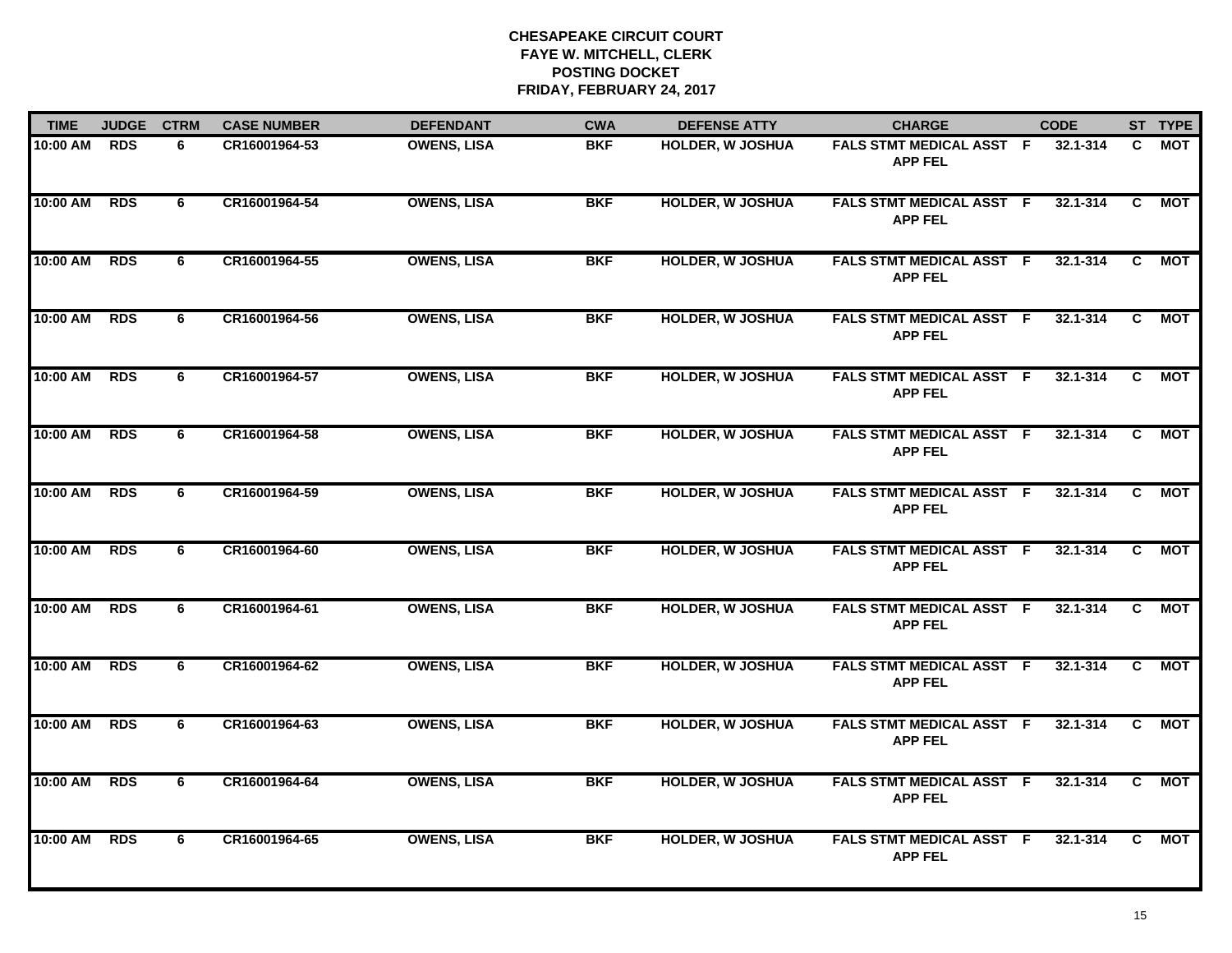| <b>TIME</b> | <b>JUDGE</b> | <b>CTRM</b> | <b>CASE NUMBER</b> | <b>DEFENDANT</b>   | <b>CWA</b> | <b>DEFENSE ATTY</b>     | <b>CHARGE</b>                                     | <b>CODE</b>  |                | ST TYPE    |
|-------------|--------------|-------------|--------------------|--------------------|------------|-------------------------|---------------------------------------------------|--------------|----------------|------------|
| 10:00 AM    | <b>RDS</b>   | 6           | CR16001964-53      | <b>OWENS, LISA</b> | <b>BKF</b> | HOLDER, W JOSHUA        | FALS STMT MEDICAL ASST F<br><b>APP FEL</b>        | 32.1-314     | C.             | MOT        |
| 10:00 AM    | <b>RDS</b>   | 6           | CR16001964-54      | <b>OWENS, LISA</b> | <b>BKF</b> | <b>HOLDER, W JOSHUA</b> | <b>FALS STMT MEDICAL ASST F</b><br><b>APP FEL</b> | 32.1-314     | C              | MOT        |
| 10:00 AM    | <b>RDS</b>   | 6           | CR16001964-55      | <b>OWENS, LISA</b> | <b>BKF</b> | <b>HOLDER, W JOSHUA</b> | <b>FALS STMT MEDICAL ASST F</b><br><b>APP FEL</b> | 32.1-314     | C              | MOT        |
| 10:00 AM    | <b>RDS</b>   | 6           | CR16001964-56      | <b>OWENS, LISA</b> | <b>BKF</b> | <b>HOLDER, W JOSHUA</b> | FALS STMT MEDICAL ASST F<br><b>APP FEL</b>        | 32.1-314     | C.             | <b>MOT</b> |
| 10:00 AM    | <b>RDS</b>   | 6           | CR16001964-57      | <b>OWENS, LISA</b> | <b>BKF</b> | <b>HOLDER, W JOSHUA</b> | FALS STMT MEDICAL ASST F<br><b>APP FEL</b>        | 32.1-314     | C.             | МОТ        |
| 10:00 AM    | <b>RDS</b>   | 6           | CR16001964-58      | <b>OWENS, LISA</b> | <b>BKF</b> | <b>HOLDER, W JOSHUA</b> | <b>FALS STMT MEDICAL ASST F</b><br><b>APP FEL</b> | 32.1-314     | C.             | <b>MOT</b> |
| 10:00 AM    | <b>RDS</b>   | 6           | CR16001964-59      | <b>OWENS, LISA</b> | <b>BKF</b> | <b>HOLDER, W JOSHUA</b> | <b>FALS STMT MEDICAL ASST F</b><br><b>APP FEL</b> | $32.1 - 314$ | $\overline{c}$ | <b>MOT</b> |
| 10:00 AM    | <b>RDS</b>   | 6           | CR16001964-60      | <b>OWENS, LISA</b> | <b>BKF</b> | <b>HOLDER, W JOSHUA</b> | <b>FALS STMT MEDICAL ASST F</b><br><b>APP FEL</b> | $32.1 - 314$ | C.             | <b>MOT</b> |
| 10:00 AM    | <b>RDS</b>   | 6           | CR16001964-61      | <b>OWENS, LISA</b> | <b>BKF</b> | <b>HOLDER, W JOSHUA</b> | <b>FALS STMT MEDICAL ASST F</b><br><b>APP FEL</b> | 32.1-314     | C.             | <b>MOT</b> |
| 10:00 AM    | <b>RDS</b>   | 6           | CR16001964-62      | <b>OWENS, LISA</b> | <b>BKF</b> | <b>HOLDER, W JOSHUA</b> | FALS STMT MEDICAL ASST F<br><b>APP FEL</b>        | 32.1-314     | C.             | MOT        |
| 10:00 AM    | <b>RDS</b>   | 6           | CR16001964-63      | <b>OWENS, LISA</b> | <b>BKF</b> | <b>HOLDER, W JOSHUA</b> | FALS STMT MEDICAL ASST F<br><b>APP FEL</b>        | $32.1 - 314$ | C.             | <b>MOT</b> |
| 10:00 AM    | <b>RDS</b>   | 6           | CR16001964-64      | <b>OWENS, LISA</b> | <b>BKF</b> | <b>HOLDER, W JOSHUA</b> | FALS STMT MEDICAL ASST F<br><b>APP FEL</b>        | $32.1 - 314$ | $\overline{c}$ | <b>MOT</b> |
| 10:00 AM    | <b>RDS</b>   | 6           | CR16001964-65      | <b>OWENS, LISA</b> | <b>BKF</b> | <b>HOLDER, W JOSHUA</b> | FALS STMT MEDICAL ASST F<br><b>APP FEL</b>        | 32.1-314     | C.             | <b>MOT</b> |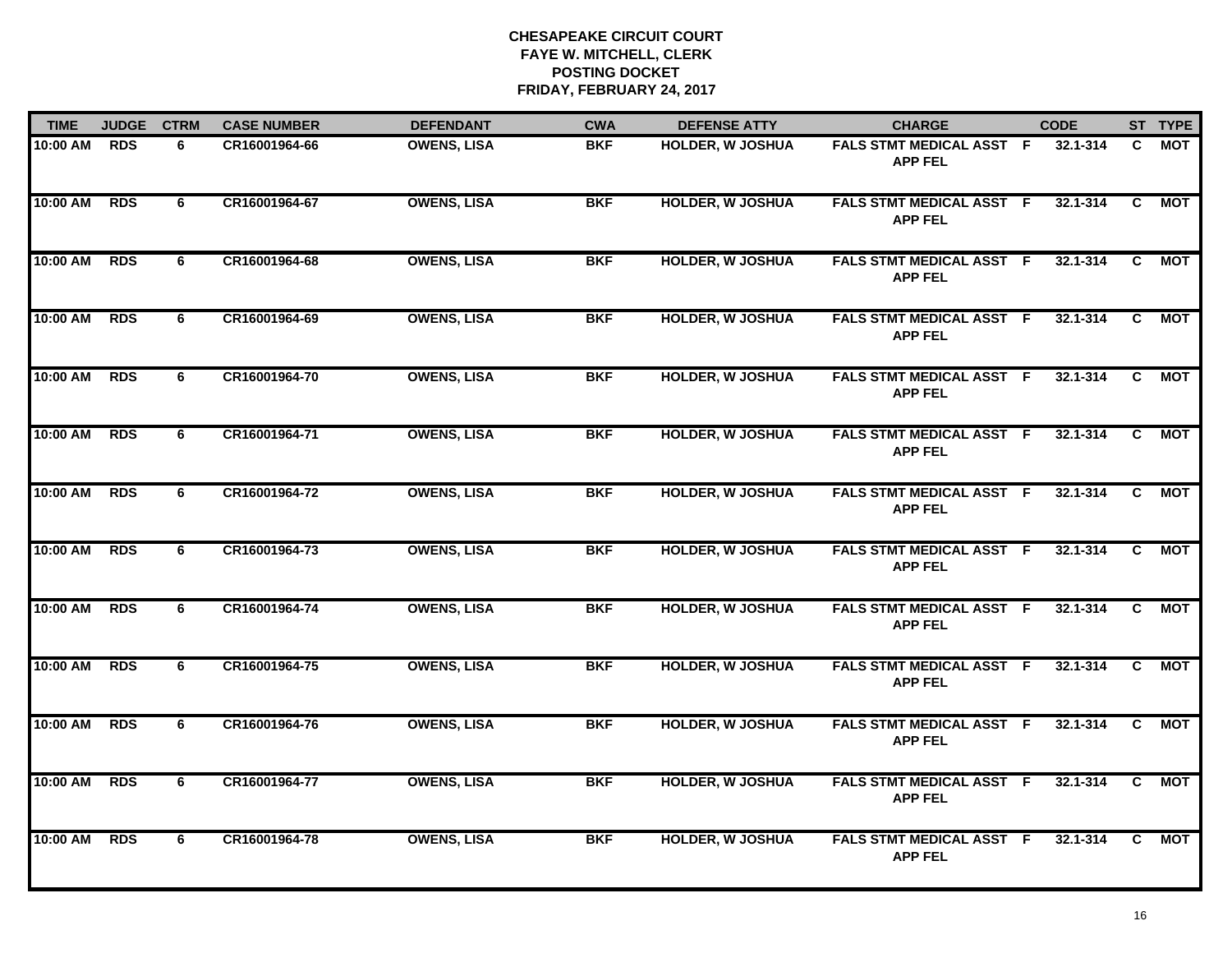| <b>TIME</b> | <b>JUDGE</b> | <b>CTRM</b> | <b>CASE NUMBER</b> | <b>DEFENDANT</b>   | <b>CWA</b> | <b>DEFENSE ATTY</b>     | <b>CHARGE</b>                                     | <b>CODE</b>  |                | ST TYPE    |
|-------------|--------------|-------------|--------------------|--------------------|------------|-------------------------|---------------------------------------------------|--------------|----------------|------------|
| 10:00 AM    | <b>RDS</b>   | 6           | CR16001964-66      | <b>OWENS, LISA</b> | <b>BKF</b> | HOLDER, W JOSHUA        | FALS STMT MEDICAL ASST F<br><b>APP FEL</b>        | 32.1-314     | C.             | MOT        |
| 10:00 AM    | <b>RDS</b>   | 6           | CR16001964-67      | <b>OWENS, LISA</b> | <b>BKF</b> | <b>HOLDER, W JOSHUA</b> | <b>FALS STMT MEDICAL ASST F</b><br><b>APP FEL</b> | 32.1-314     | C              | MOT        |
| 10:00 AM    | <b>RDS</b>   | 6           | CR16001964-68      | <b>OWENS, LISA</b> | <b>BKF</b> | <b>HOLDER, W JOSHUA</b> | <b>FALS STMT MEDICAL ASST F</b><br><b>APP FEL</b> | 32.1-314     | C              | MOT        |
| 10:00 AM    | <b>RDS</b>   | 6           | CR16001964-69      | <b>OWENS, LISA</b> | <b>BKF</b> | <b>HOLDER, W JOSHUA</b> | FALS STMT MEDICAL ASST F<br><b>APP FEL</b>        | 32.1-314     | C.             | <b>MOT</b> |
| 10:00 AM    | <b>RDS</b>   | 6           | CR16001964-70      | <b>OWENS, LISA</b> | <b>BKF</b> | <b>HOLDER, W JOSHUA</b> | FALS STMT MEDICAL ASST F<br><b>APP FEL</b>        | 32.1-314     | C.             | МОТ        |
| 10:00 AM    | <b>RDS</b>   | 6           | CR16001964-71      | <b>OWENS, LISA</b> | <b>BKF</b> | <b>HOLDER, W JOSHUA</b> | <b>FALS STMT MEDICAL ASST F</b><br><b>APP FEL</b> | 32.1-314     | C.             | <b>MOT</b> |
| 10:00 AM    | <b>RDS</b>   | 6           | CR16001964-72      | <b>OWENS, LISA</b> | <b>BKF</b> | <b>HOLDER, W JOSHUA</b> | <b>FALS STMT MEDICAL ASST F</b><br><b>APP FEL</b> | $32.1 - 314$ | $\overline{c}$ | <b>MOT</b> |
| 10:00 AM    | <b>RDS</b>   | 6           | CR16001964-73      | <b>OWENS, LISA</b> | <b>BKF</b> | <b>HOLDER, W JOSHUA</b> | <b>FALS STMT MEDICAL ASST F</b><br><b>APP FEL</b> | $32.1 - 314$ | C.             | <b>MOT</b> |
| 10:00 AM    | <b>RDS</b>   | 6           | CR16001964-74      | <b>OWENS, LISA</b> | <b>BKF</b> | <b>HOLDER, W JOSHUA</b> | <b>FALS STMT MEDICAL ASST F</b><br><b>APP FEL</b> | 32.1-314     | C.             | <b>MOT</b> |
| 10:00 AM    | <b>RDS</b>   | 6           | CR16001964-75      | <b>OWENS, LISA</b> | <b>BKF</b> | <b>HOLDER, W JOSHUA</b> | FALS STMT MEDICAL ASST F<br><b>APP FEL</b>        | 32.1-314     | C.             | MOT        |
| 10:00 AM    | <b>RDS</b>   | 6           | CR16001964-76      | <b>OWENS, LISA</b> | <b>BKF</b> | <b>HOLDER, W JOSHUA</b> | FALS STMT MEDICAL ASST F<br><b>APP FEL</b>        | $32.1 - 314$ | C.             | <b>MOT</b> |
| 10:00 AM    | <b>RDS</b>   | 6           | CR16001964-77      | <b>OWENS, LISA</b> | <b>BKF</b> | <b>HOLDER, W JOSHUA</b> | FALS STMT MEDICAL ASST F<br><b>APP FEL</b>        | $32.1 - 314$ | $\overline{c}$ | <b>MOT</b> |
| 10:00 AM    | <b>RDS</b>   | 6           | CR16001964-78      | <b>OWENS, LISA</b> | <b>BKF</b> | <b>HOLDER, W JOSHUA</b> | FALS STMT MEDICAL ASST F<br><b>APP FEL</b>        | 32.1-314     | C.             | <b>MOT</b> |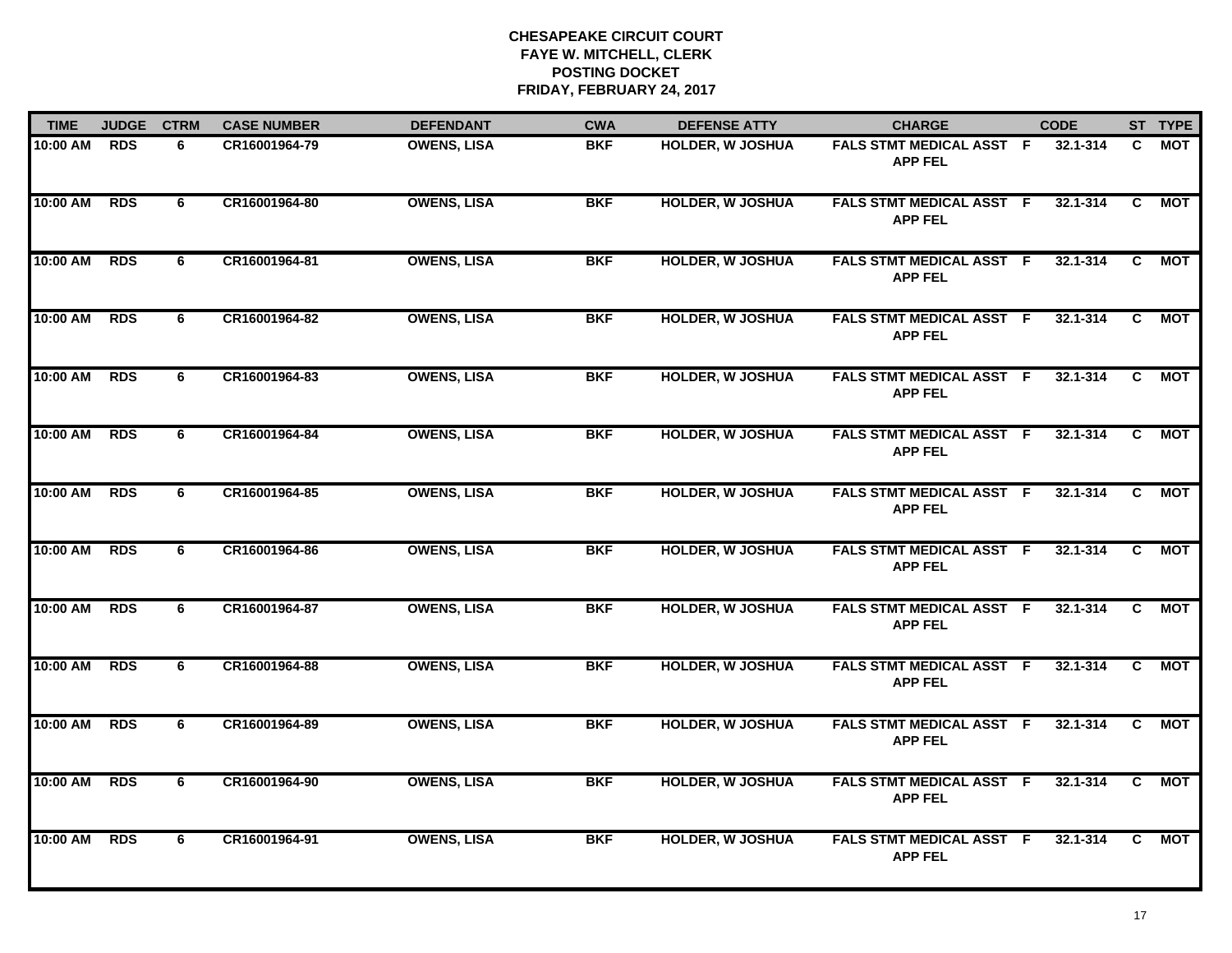| <b>TIME</b> | <b>JUDGE</b> | <b>CTRM</b> | <b>CASE NUMBER</b> | <b>DEFENDANT</b>   | <b>CWA</b> | <b>DEFENSE ATTY</b>     | <b>CHARGE</b>                                     | <b>CODE</b>  |                | ST TYPE    |
|-------------|--------------|-------------|--------------------|--------------------|------------|-------------------------|---------------------------------------------------|--------------|----------------|------------|
| 10:00 AM    | <b>RDS</b>   | 6           | CR16001964-79      | <b>OWENS, LISA</b> | <b>BKF</b> | HOLDER, W JOSHUA        | FALS STMT MEDICAL ASST F<br><b>APP FEL</b>        | 32.1-314     | C.             | MOT        |
| 10:00 AM    | <b>RDS</b>   | 6           | CR16001964-80      | <b>OWENS, LISA</b> | <b>BKF</b> | <b>HOLDER, W JOSHUA</b> | <b>FALS STMT MEDICAL ASST F</b><br><b>APP FEL</b> | 32.1-314     | C              | MOT        |
| 10:00 AM    | <b>RDS</b>   | 6           | CR16001964-81      | <b>OWENS, LISA</b> | <b>BKF</b> | <b>HOLDER, W JOSHUA</b> | <b>FALS STMT MEDICAL ASST F</b><br><b>APP FEL</b> | 32.1-314     | C              | MOT        |
| 10:00 AM    | <b>RDS</b>   | 6           | CR16001964-82      | <b>OWENS, LISA</b> | <b>BKF</b> | <b>HOLDER, W JOSHUA</b> | FALS STMT MEDICAL ASST F<br><b>APP FEL</b>        | 32.1-314     | C.             | <b>MOT</b> |
| 10:00 AM    | <b>RDS</b>   | 6           | CR16001964-83      | <b>OWENS, LISA</b> | <b>BKF</b> | <b>HOLDER, W JOSHUA</b> | FALS STMT MEDICAL ASST F<br><b>APP FEL</b>        | 32.1-314     | C.             | МОТ        |
| 10:00 AM    | <b>RDS</b>   | 6           | CR16001964-84      | <b>OWENS, LISA</b> | <b>BKF</b> | <b>HOLDER, W JOSHUA</b> | <b>FALS STMT MEDICAL ASST F</b><br><b>APP FEL</b> | 32.1-314     | C.             | <b>MOT</b> |
| 10:00 AM    | <b>RDS</b>   | 6           | CR16001964-85      | <b>OWENS, LISA</b> | <b>BKF</b> | <b>HOLDER, W JOSHUA</b> | <b>FALS STMT MEDICAL ASST F</b><br><b>APP FEL</b> | $32.1 - 314$ | $\overline{c}$ | <b>MOT</b> |
| 10:00 AM    | <b>RDS</b>   | 6           | CR16001964-86      | <b>OWENS, LISA</b> | <b>BKF</b> | <b>HOLDER, W JOSHUA</b> | <b>FALS STMT MEDICAL ASST F</b><br><b>APP FEL</b> | $32.1 - 314$ | C.             | <b>MOT</b> |
| 10:00 AM    | <b>RDS</b>   | 6           | CR16001964-87      | <b>OWENS, LISA</b> | <b>BKF</b> | <b>HOLDER, W JOSHUA</b> | <b>FALS STMT MEDICAL ASST F</b><br><b>APP FEL</b> | 32.1-314     | C.             | <b>MOT</b> |
| 10:00 AM    | <b>RDS</b>   | 6           | CR16001964-88      | <b>OWENS, LISA</b> | <b>BKF</b> | <b>HOLDER, W JOSHUA</b> | FALS STMT MEDICAL ASST F<br><b>APP FEL</b>        | 32.1-314     | C.             | MOT        |
| 10:00 AM    | <b>RDS</b>   | 6           | CR16001964-89      | <b>OWENS, LISA</b> | <b>BKF</b> | <b>HOLDER, W JOSHUA</b> | FALS STMT MEDICAL ASST F<br><b>APP FEL</b>        | $32.1 - 314$ | C.             | <b>MOT</b> |
| 10:00 AM    | <b>RDS</b>   | 6           | CR16001964-90      | <b>OWENS, LISA</b> | <b>BKF</b> | <b>HOLDER, W JOSHUA</b> | FALS STMT MEDICAL ASST F<br><b>APP FEL</b>        | $32.1 - 314$ | $\overline{c}$ | <b>MOT</b> |
| 10:00 AM    | <b>RDS</b>   | 6           | CR16001964-91      | <b>OWENS, LISA</b> | <b>BKF</b> | <b>HOLDER, W JOSHUA</b> | FALS STMT MEDICAL ASST F<br><b>APP FEL</b>        | 32.1-314     | C.             | <b>MOT</b> |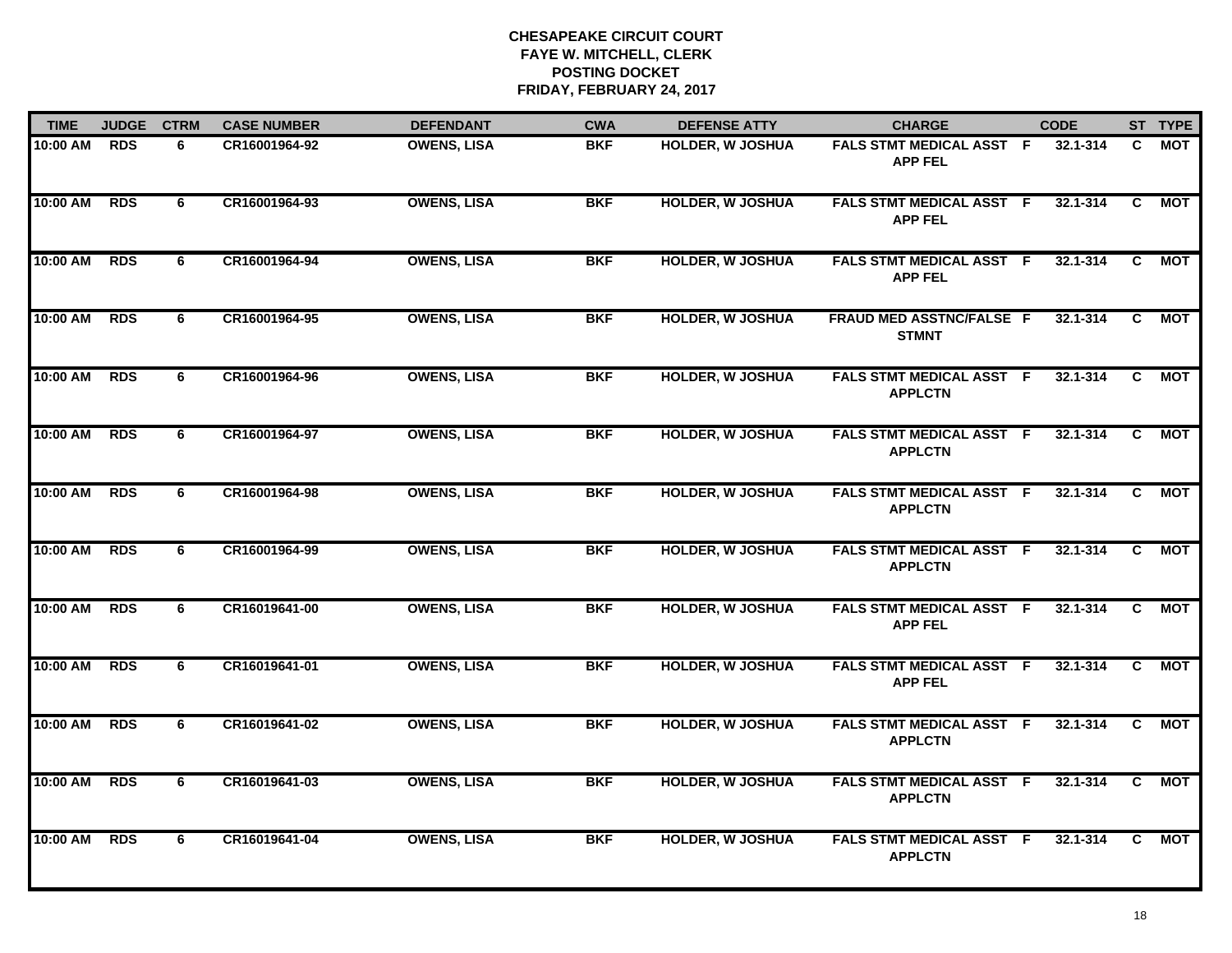| <b>TIME</b> | <b>JUDGE</b> | <b>CTRM</b> | <b>CASE NUMBER</b> | <b>DEFENDANT</b>   | <b>CWA</b> | <b>DEFENSE ATTY</b>     | <b>CHARGE</b>                                     | <b>CODE</b>  |                | ST TYPE    |
|-------------|--------------|-------------|--------------------|--------------------|------------|-------------------------|---------------------------------------------------|--------------|----------------|------------|
| 10:00 AM    | <b>RDS</b>   | 6           | CR16001964-92      | <b>OWENS, LISA</b> | <b>BKF</b> | HOLDER, W JOSHUA        | FALS STMT MEDICAL ASST F<br><b>APP FEL</b>        | 32.1-314     | C.             | MOT        |
| 10:00 AM    | <b>RDS</b>   | 6           | CR16001964-93      | <b>OWENS, LISA</b> | <b>BKF</b> | <b>HOLDER, W JOSHUA</b> | <b>FALS STMT MEDICAL ASST F</b><br><b>APP FEL</b> | 32.1-314     | C              | MOT        |
| 10:00 AM    | <b>RDS</b>   | 6           | CR16001964-94      | <b>OWENS, LISA</b> | <b>BKF</b> | <b>HOLDER, W JOSHUA</b> | <b>FALS STMT MEDICAL ASST F</b><br><b>APP FEL</b> | 32.1-314     | C              | MOT        |
| 10:00 AM    | <b>RDS</b>   | 6           | CR16001964-95      | <b>OWENS, LISA</b> | <b>BKF</b> | <b>HOLDER, W JOSHUA</b> | FRAUD MED ASSTNC/FALSE F<br><b>STMNT</b>          | 32.1-314     | C.             | <b>MOT</b> |
| 10:00 AM    | <b>RDS</b>   | 6           | CR16001964-96      | <b>OWENS, LISA</b> | <b>BKF</b> | <b>HOLDER, W JOSHUA</b> | FALS STMT MEDICAL ASST F<br><b>APPLCTN</b>        | 32.1-314     | C.             | МОТ        |
| 10:00 AM    | <b>RDS</b>   | 6           | CR16001964-97      | <b>OWENS, LISA</b> | <b>BKF</b> | <b>HOLDER, W JOSHUA</b> | FALS STMT MEDICAL ASST F<br><b>APPLCTN</b>        | 32.1-314     | C.             | <b>MOT</b> |
| 10:00 AM    | <b>RDS</b>   | 6           | CR16001964-98      | <b>OWENS, LISA</b> | <b>BKF</b> | <b>HOLDER, W JOSHUA</b> | <b>FALS STMT MEDICAL ASST F</b><br><b>APPLCTN</b> | $32.1 - 314$ | $\overline{c}$ | <b>MOT</b> |
| 10:00 AM    | <b>RDS</b>   | 6           | CR16001964-99      | <b>OWENS, LISA</b> | <b>BKF</b> | <b>HOLDER, W JOSHUA</b> | <b>FALS STMT MEDICAL ASST F</b><br><b>APPLCTN</b> | $32.1 - 314$ | C              | <b>MOT</b> |
| 10:00 AM    | <b>RDS</b>   | 6           | CR16019641-00      | <b>OWENS, LISA</b> | <b>BKF</b> | <b>HOLDER, W JOSHUA</b> | FALS STMT MEDICAL ASST F<br><b>APP FEL</b>        | 32.1-314     | C.             | <b>MOT</b> |
| 10:00 AM    | <b>RDS</b>   | 6           | CR16019641-01      | <b>OWENS, LISA</b> | <b>BKF</b> | <b>HOLDER, W JOSHUA</b> | FALS STMT MEDICAL ASST F<br><b>APP FEL</b>        | 32.1-314     | C.             | MOT        |
| 10:00 AM    | <b>RDS</b>   | 6           | CR16019641-02      | <b>OWENS, LISA</b> | <b>BKF</b> | <b>HOLDER, W JOSHUA</b> | FALS STMT MEDICAL ASST F<br><b>APPLCTN</b>        | $32.1 - 314$ | C.             | <b>MOT</b> |
| 10:00 AM    | <b>RDS</b>   | 6           | CR16019641-03      | <b>OWENS, LISA</b> | <b>BKF</b> | <b>HOLDER, W JOSHUA</b> | FALS STMT MEDICAL ASST F<br><b>APPLCTN</b>        | $32.1 - 314$ | $\overline{c}$ | <b>MOT</b> |
| 10:00 AM    | <b>RDS</b>   | 6           | CR16019641-04      | <b>OWENS, LISA</b> | <b>BKF</b> | <b>HOLDER, W JOSHUA</b> | FALS STMT MEDICAL ASST F<br><b>APPLCTN</b>        | 32.1-314     | C.             | <b>MOT</b> |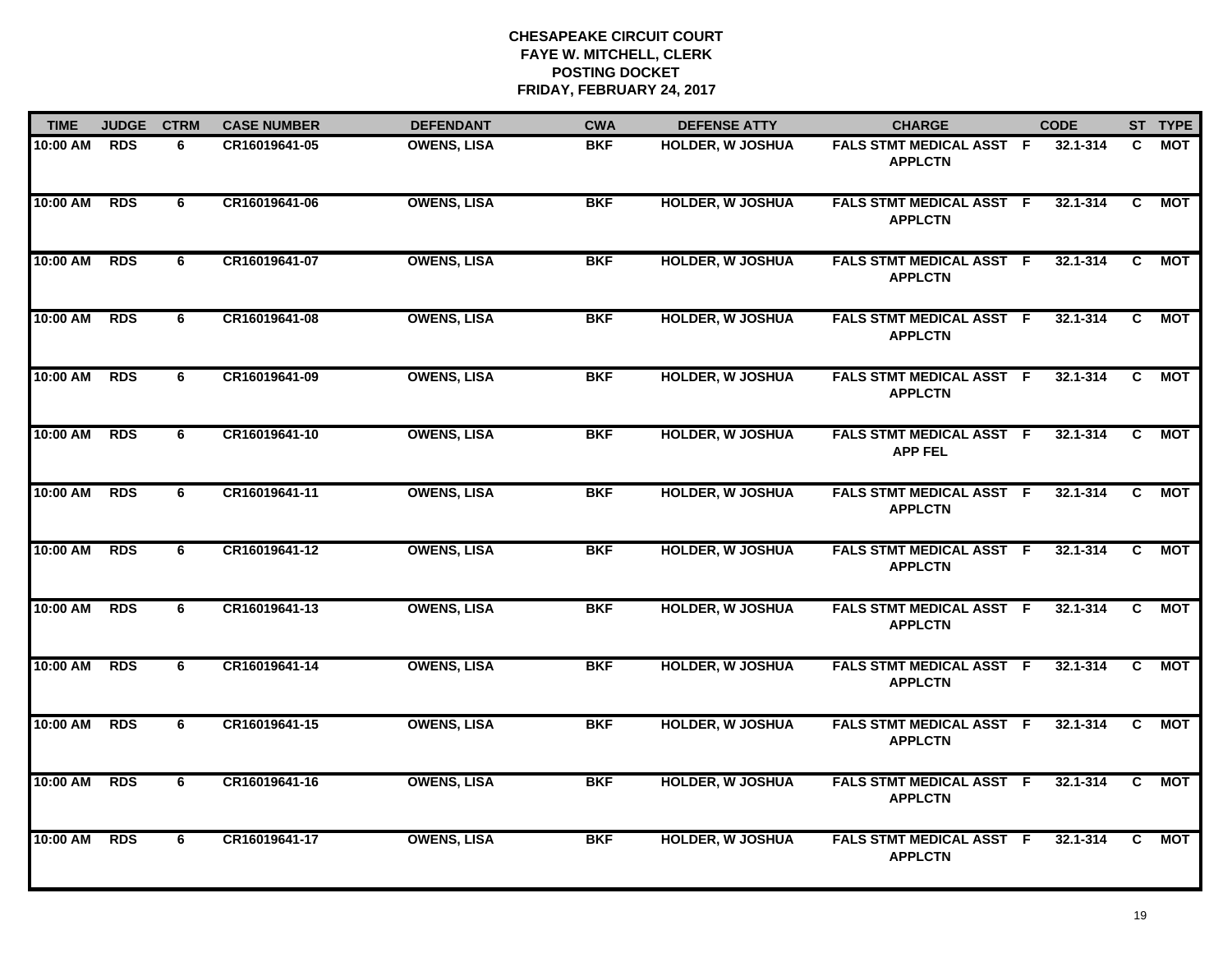| <b>TIME</b> | <b>JUDGE</b> | <b>CTRM</b>    | <b>CASE NUMBER</b> | <b>DEFENDANT</b>   | <b>CWA</b> | <b>DEFENSE ATTY</b>     | <b>CHARGE</b>                                     | <b>CODE</b>  |                | ST TYPE    |
|-------------|--------------|----------------|--------------------|--------------------|------------|-------------------------|---------------------------------------------------|--------------|----------------|------------|
| 10:00 AM    | <b>RDS</b>   | 6              | CR16019641-05      | <b>OWENS, LISA</b> | <b>BKF</b> | <b>HOLDER, W JOSHUA</b> | <b>FALS STMT MEDICAL ASST F</b><br><b>APPLCTN</b> | 32.1-314     | C.             | MOT        |
| 10:00 AM    | <b>RDS</b>   | 6              | CR16019641-06      | <b>OWENS, LISA</b> | <b>BKF</b> | <b>HOLDER, W JOSHUA</b> | <b>FALS STMT MEDICAL ASST F</b><br><b>APPLCTN</b> | $32.1 - 314$ | C              | <b>MOT</b> |
| 10:00 AM    | <b>RDS</b>   | 6              | CR16019641-07      | <b>OWENS, LISA</b> | <b>BKF</b> | <b>HOLDER, W JOSHUA</b> | FALS STMT MEDICAL ASST F<br><b>APPLCTN</b>        | 32.1-314     | $\overline{c}$ | <b>MOT</b> |
| 10:00 AM    | <b>RDS</b>   | 6              | CR16019641-08      | <b>OWENS, LISA</b> | <b>BKF</b> | <b>HOLDER, W JOSHUA</b> | <b>FALS STMT MEDICAL ASST F</b><br><b>APPLCTN</b> | 32.1-314     | C              | МОТ        |
| 10:00 AM    | <b>RDS</b>   | 6              | CR16019641-09      | <b>OWENS, LISA</b> | <b>BKF</b> | <b>HOLDER, W JOSHUA</b> | <b>FALS STMT MEDICAL ASST F</b><br><b>APPLCTN</b> | 32.1-314     | C              | MOT        |
| 10:00 AM    | <b>RDS</b>   | 6              | CR16019641-10      | <b>OWENS, LISA</b> | <b>BKF</b> | <b>HOLDER, W JOSHUA</b> | <b>FALS STMT MEDICAL ASST F</b><br><b>APP FEL</b> | 32.1-314     | C.             | <b>MOT</b> |
| 10:00 AM    | <b>RDS</b>   | 6              | CR16019641-11      | <b>OWENS, LISA</b> | <b>BKF</b> | <b>HOLDER, W JOSHUA</b> | FALS STMT MEDICAL ASST F<br><b>APPLCTN</b>        | 32.1-314     | C              | MOT        |
| 10:00 AM    | <b>RDS</b>   | 6              | CR16019641-12      | <b>OWENS, LISA</b> | <b>BKF</b> | <b>HOLDER, W JOSHUA</b> | <b>FALS STMT MEDICAL ASST F</b><br><b>APPLCTN</b> | 32.1-314     | $\overline{c}$ | <b>MOT</b> |
| 10:00 AM    | <b>RDS</b>   | 6              | CR16019641-13      | <b>OWENS, LISA</b> | <b>BKF</b> | <b>HOLDER, W JOSHUA</b> | FALS STMT MEDICAL ASST F<br><b>APPLCTN</b>        | 32.1-314     | C.             | MOT        |
| 10:00 AM    | <b>RDS</b>   | 6              | CR16019641-14      | <b>OWENS, LISA</b> | <b>BKF</b> | <b>HOLDER, W JOSHUA</b> | FALS STMT MEDICAL ASST F<br><b>APPLCTN</b>        | 32.1-314     | C.             | MOT        |
| 10:00 AM    | <b>RDS</b>   | 6              | CR16019641-15      | <b>OWENS, LISA</b> | <b>BKF</b> | <b>HOLDER, W JOSHUA</b> | FALS STMT MEDICAL ASST F<br><b>APPLCTN</b>        | 32.1-314     | C              | <b>MOT</b> |
| 10:00 AM    | <b>RDS</b>   | $\overline{6}$ | CR16019641-16      | <b>OWENS, LISA</b> | <b>BKF</b> | <b>HOLDER, W JOSHUA</b> | FALS STMT MEDICAL ASST F<br><b>APPLCTN</b>        | 32.1-314     | $\overline{c}$ | <b>MOT</b> |
| 10:00 AM    | <b>RDS</b>   | 6              | CR16019641-17      | <b>OWENS, LISA</b> | <b>BKF</b> | <b>HOLDER, W JOSHUA</b> | <b>FALS STMT MEDICAL ASST F</b><br><b>APPLCTN</b> | $32.1 - 314$ | C.             | <b>MOT</b> |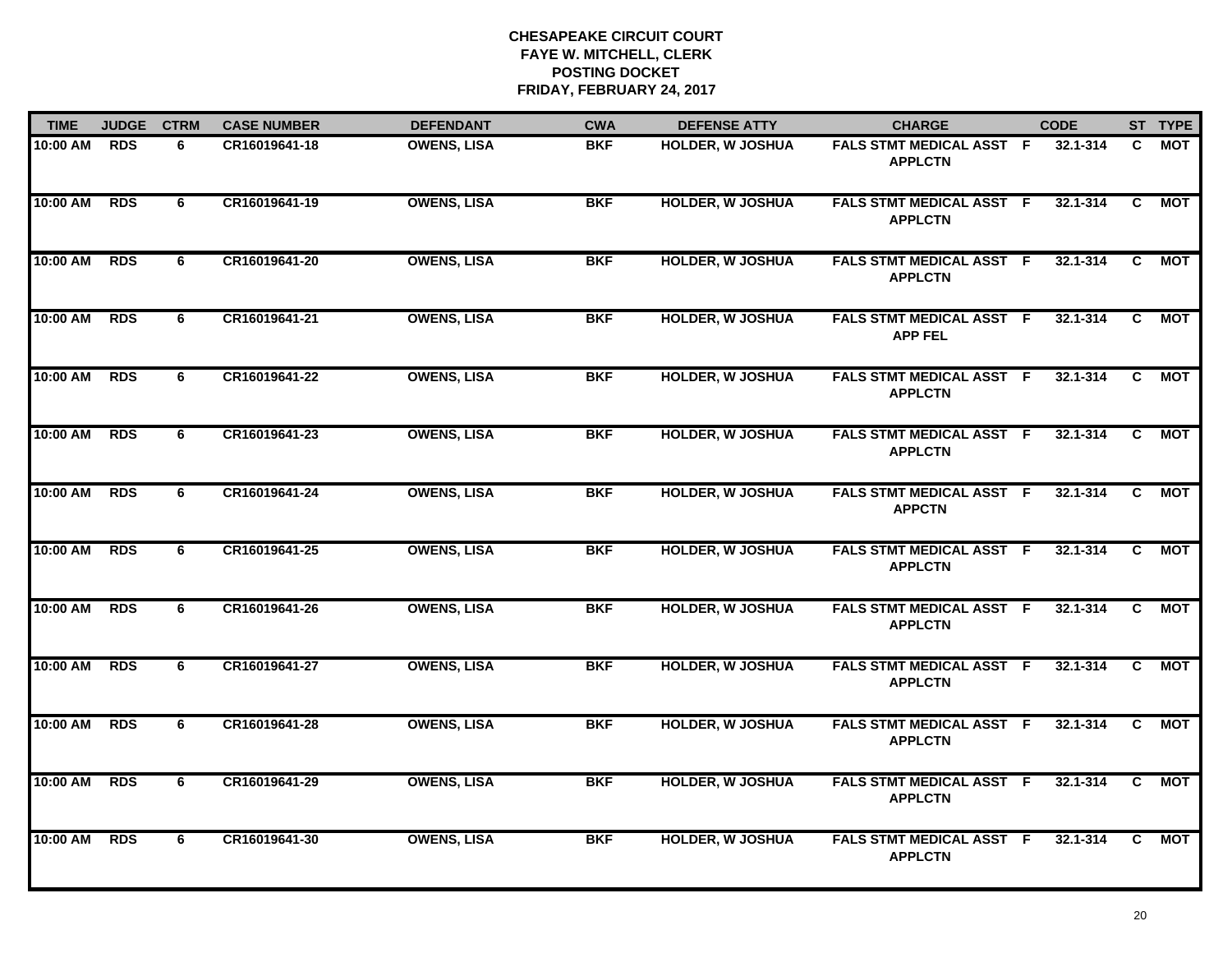| <b>TIME</b> | <b>JUDGE</b> | <b>CTRM</b> | <b>CASE NUMBER</b> | <b>DEFENDANT</b>   | <b>CWA</b> | <b>DEFENSE ATTY</b>     | <b>CHARGE</b>                                     | <b>CODE</b>  |                | ST TYPE    |
|-------------|--------------|-------------|--------------------|--------------------|------------|-------------------------|---------------------------------------------------|--------------|----------------|------------|
| 10:00 AM    | <b>RDS</b>   | 6           | CR16019641-18      | <b>OWENS, LISA</b> | <b>BKF</b> | <b>HOLDER, W JOSHUA</b> | <b>FALS STMT MEDICAL ASST F</b><br><b>APPLCTN</b> | 32.1-314     | C.             | MOT        |
| 10:00 AM    | <b>RDS</b>   | 6           | CR16019641-19      | <b>OWENS, LISA</b> | <b>BKF</b> | <b>HOLDER, W JOSHUA</b> | <b>FALS STMT MEDICAL ASST F</b><br><b>APPLCTN</b> | 32.1-314     | C              | MOT        |
| 10:00 AM    | <b>RDS</b>   | 6           | CR16019641-20      | <b>OWENS, LISA</b> | <b>BKF</b> | <b>HOLDER, W JOSHUA</b> | <b>FALS STMT MEDICAL ASST F</b><br><b>APPLCTN</b> | 32.1-314     | C.             | MOT        |
| 10:00 AM    | <b>RDS</b>   | 6           | CR16019641-21      | <b>OWENS, LISA</b> | <b>BKF</b> | <b>HOLDER, W JOSHUA</b> | FALS STMT MEDICAL ASST F<br><b>APP FEL</b>        | 32.1-314     | C.             | <b>MOT</b> |
| 10:00 AM    | <b>RDS</b>   | 6           | CR16019641-22      | <b>OWENS, LISA</b> | <b>BKF</b> | <b>HOLDER, W JOSHUA</b> | FALS STMT MEDICAL ASST F<br><b>APPLCTN</b>        | 32.1-314     | C.             | MOT        |
| 10:00 AM    | <b>RDS</b>   | 6           | CR16019641-23      | <b>OWENS, LISA</b> | <b>BKF</b> | <b>HOLDER, W JOSHUA</b> | <b>FALS STMT MEDICAL ASST F</b><br><b>APPLCTN</b> | 32.1-314     | C.             | <b>MOT</b> |
| 10:00 AM    | <b>RDS</b>   | 6           | CR16019641-24      | <b>OWENS, LISA</b> | <b>BKF</b> | <b>HOLDER, W JOSHUA</b> | <b>FALS STMT MEDICAL ASST F</b><br><b>APPCTN</b>  | $32.1 - 314$ | $\overline{c}$ | <b>MOT</b> |
| 10:00 AM    | <b>RDS</b>   | 6           | CR16019641-25      | <b>OWENS, LISA</b> | <b>BKF</b> | <b>HOLDER, W JOSHUA</b> | <b>FALS STMT MEDICAL ASST F</b><br><b>APPLCTN</b> | $32.1 - 314$ | C.             | <b>MOT</b> |
| 10:00 AM    | <b>RDS</b>   | 6           | CR16019641-26      | <b>OWENS, LISA</b> | <b>BKF</b> | <b>HOLDER, W JOSHUA</b> | <b>FALS STMT MEDICAL ASST F</b><br><b>APPLCTN</b> | 32.1-314     | C              | <b>MOT</b> |
| 10:00 AM    | <b>RDS</b>   | 6           | CR16019641-27      | <b>OWENS, LISA</b> | <b>BKF</b> | <b>HOLDER, W JOSHUA</b> | <b>FALS STMT MEDICAL ASST F</b><br><b>APPLCTN</b> | 32.1-314     | $\mathbf{C}$   | <b>MOT</b> |
| 10:00 AM    | <b>RDS</b>   | 6           | CR16019641-28      | <b>OWENS, LISA</b> | <b>BKF</b> | <b>HOLDER, W JOSHUA</b> | <b>FALS STMT MEDICAL ASST F</b><br><b>APPLCTN</b> | $32.1 - 314$ | C.             | <b>MOT</b> |
| 10:00 AM    | <b>RDS</b>   | 6           | CR16019641-29      | <b>OWENS, LISA</b> | <b>BKF</b> | <b>HOLDER, W JOSHUA</b> | FALS STMT MEDICAL ASST F<br><b>APPLCTN</b>        | $32.1 - 314$ | $\overline{c}$ | <b>MOT</b> |
| 10:00 AM    | <b>RDS</b>   | 6           | CR16019641-30      | <b>OWENS, LISA</b> | <b>BKF</b> | <b>HOLDER, W JOSHUA</b> | FALS STMT MEDICAL ASST F<br><b>APPLCTN</b>        | 32.1-314     | C.             | <b>MOT</b> |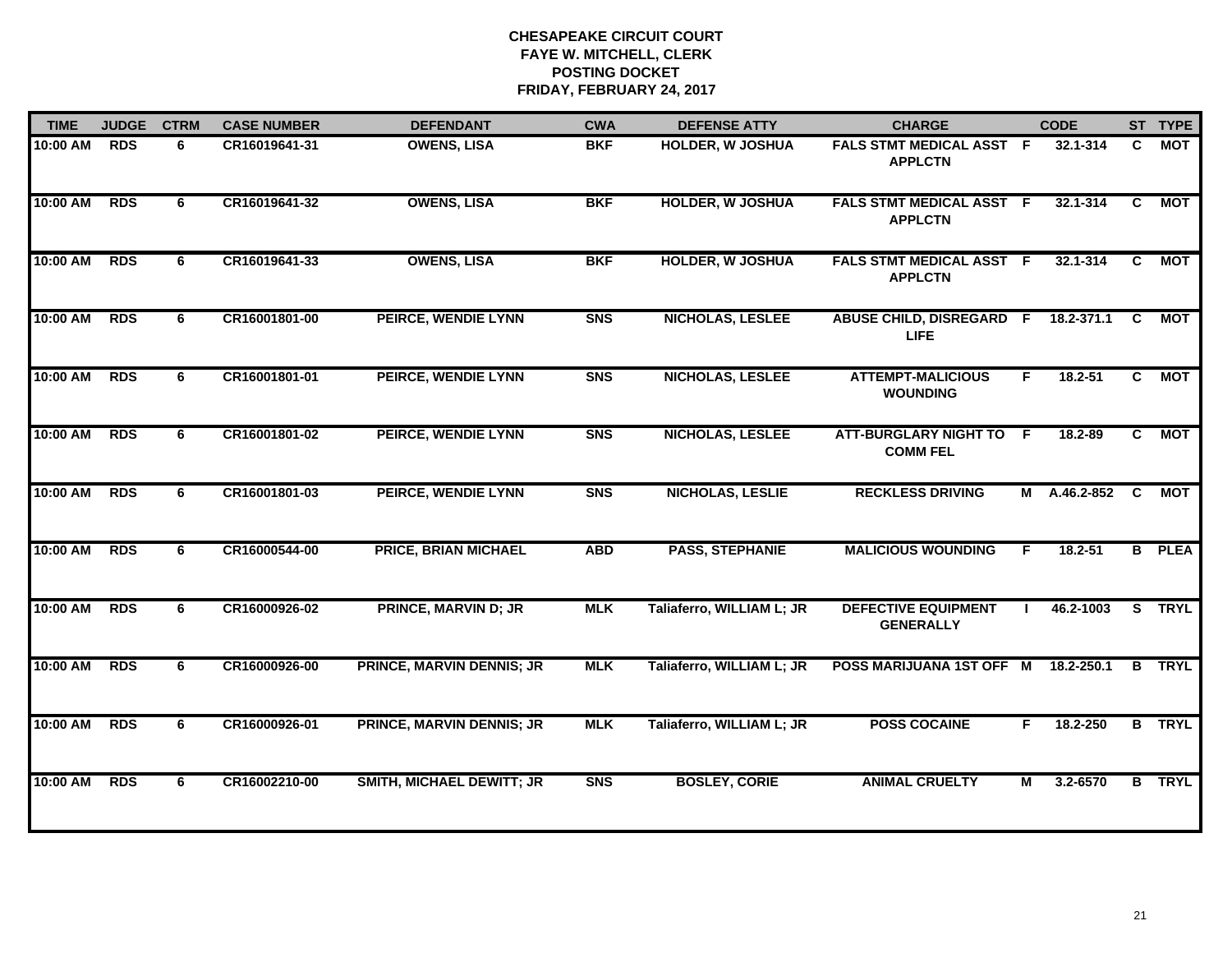| <b>TIME</b> | <b>JUDGE</b> | <b>CTRM</b> | <b>CASE NUMBER</b> | <b>DEFENDANT</b>                 | <b>CWA</b> | <b>DEFENSE ATTY</b>       | <b>CHARGE</b>                                  |    | <b>CODE</b>    |                | ST TYPE       |
|-------------|--------------|-------------|--------------------|----------------------------------|------------|---------------------------|------------------------------------------------|----|----------------|----------------|---------------|
| 10:00 AM    | <b>RDS</b>   | 6           | CR16019641-31      | <b>OWENS, LISA</b>               | <b>BKF</b> | <b>HOLDER, W JOSHUA</b>   | FALS STMT MEDICAL ASST F<br><b>APPLCTN</b>     |    | 32.1-314       | C.             | <b>MOT</b>    |
| 10:00 AM    | <b>RDS</b>   | 6           | CR16019641-32      | <b>OWENS, LISA</b>               | <b>BKF</b> | <b>HOLDER, W JOSHUA</b>   | FALS STMT MEDICAL ASST F<br><b>APPLCTN</b>     |    | 32.1-314       | C              | <b>MOT</b>    |
| 10:00 AM    | <b>RDS</b>   | 6           | CR16019641-33      | <b>OWENS, LISA</b>               | <b>BKF</b> | <b>HOLDER, W JOSHUA</b>   | FALS STMT MEDICAL ASST F<br><b>APPLCTN</b>     |    | $32.1 - 314$   | C.             | <b>MOT</b>    |
| 10:00 AM    | <b>RDS</b>   | 6           | CR16001801-00      | PEIRCE, WENDIE LYNN              | <b>SNS</b> | NICHOLAS, LESLEE          | <b>ABUSE CHILD, DISREGARD F</b><br><b>LIFE</b> |    | 18.2-371.1     | $\overline{c}$ | <b>MOT</b>    |
| 10:00 AM    | <b>RDS</b>   | 6           | CR16001801-01      | PEIRCE, WENDIE LYNN              | <b>SNS</b> | <b>NICHOLAS, LESLEE</b>   | <b>ATTEMPT-MALICIOUS</b><br><b>WOUNDING</b>    | F. | $18.2 - 51$    | $\overline{c}$ | <b>MOT</b>    |
| 10:00 AM    | <b>RDS</b>   | 6           | CR16001801-02      | PEIRCE, WENDIE LYNN              | <b>SNS</b> | <b>NICHOLAS, LESLEE</b>   | ATT-BURGLARY NIGHT TO F<br><b>COMM FEL</b>     |    | 18.2-89        | C.             | <b>MOT</b>    |
| 10:00 AM    | <b>RDS</b>   | 6           | CR16001801-03      | PEIRCE, WENDIE LYNN              | <b>SNS</b> | NICHOLAS, LESLIE          | <b>RECKLESS DRIVING</b>                        |    | M A.46.2-852 C |                | <b>MOT</b>    |
| 10:00 AM    | <b>RDS</b>   | 6           | CR16000544-00      | <b>PRICE, BRIAN MICHAEL</b>      | <b>ABD</b> | <b>PASS, STEPHANIE</b>    | <b>MALICIOUS WOUNDING</b>                      | F  | $18.2 - 51$    |                | <b>B</b> PLEA |
| 10:00 AM    | <b>RDS</b>   | 6           | CR16000926-02      | <b>PRINCE, MARVIN D; JR</b>      | <b>MLK</b> | Taliaferro, WILLIAM L; JR | <b>DEFECTIVE EQUIPMENT</b><br><b>GENERALLY</b> |    | 46.2-1003      |                | S TRYL        |
| 10:00 AM    | <b>RDS</b>   | 6           | CR16000926-00      | PRINCE, MARVIN DENNIS; JR        | <b>MLK</b> | Taliaferro, WILLIAM L; JR | POSS MARIJUANA 1ST OFF M 18.2-250.1            |    |                |                | <b>B</b> TRYL |
| 10:00 AM    | <b>RDS</b>   | 6           | CR16000926-01      | PRINCE, MARVIN DENNIS; JR        | <b>MLK</b> | Taliaferro, WILLIAM L; JR | <b>POSS COCAINE</b>                            | F. | 18.2-250       |                | <b>B</b> TRYL |
| 10:00 AM    | <b>RDS</b>   | 6           | CR16002210-00      | <b>SMITH, MICHAEL DEWITT; JR</b> | <b>SNS</b> | <b>BOSLEY, CORIE</b>      | <b>ANIMAL CRUELTY</b>                          | М  | 3.2-6570       |                | <b>B</b> TRYL |